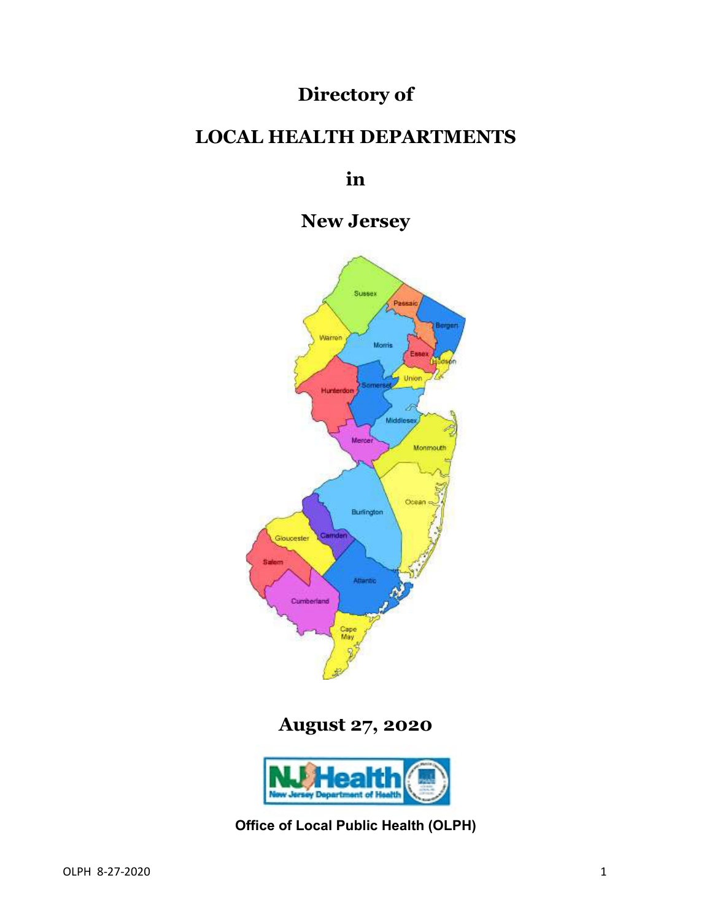# **Directory of**

# **LOCAL HEALTH DEPARTMENTS**

**in**

**New Jersey**



**August 27, 2020**



**Office of Local Public Health (OLPH)**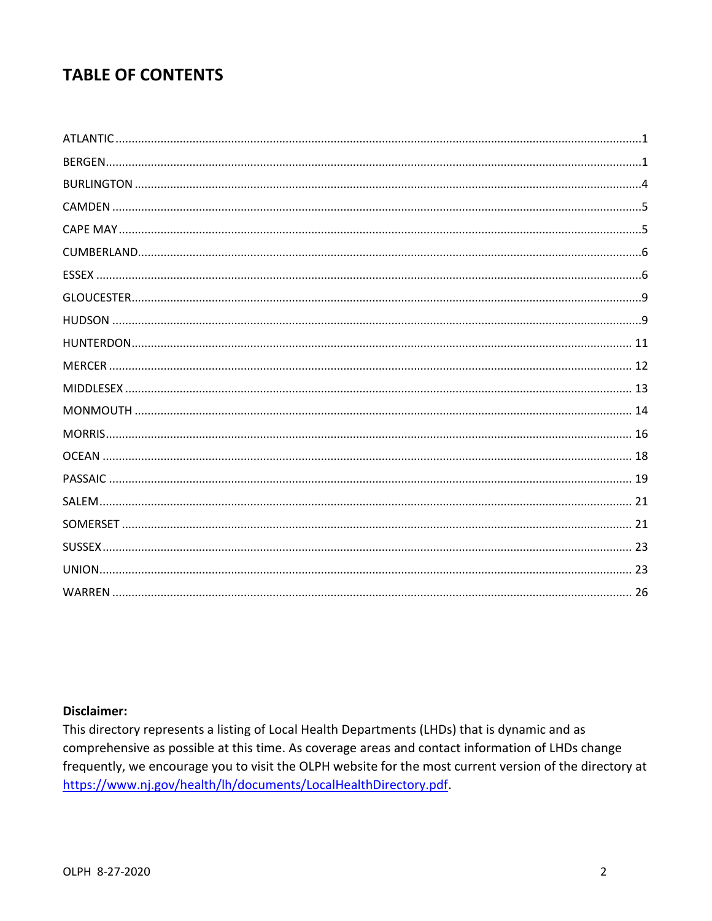# **TABLE OF CONTENTS**

### **Disclaimer:**

This directory represents a listing of Local Health Departments (LHDs) that is dynamic and as comprehensive as possible at this time. As coverage areas and contact information of LHDs change frequently, we encourage you to visit the OLPH website for the most current version of the directory at https://www.nj.gov/health/lh/documents/LocalHealthDirectory.pdf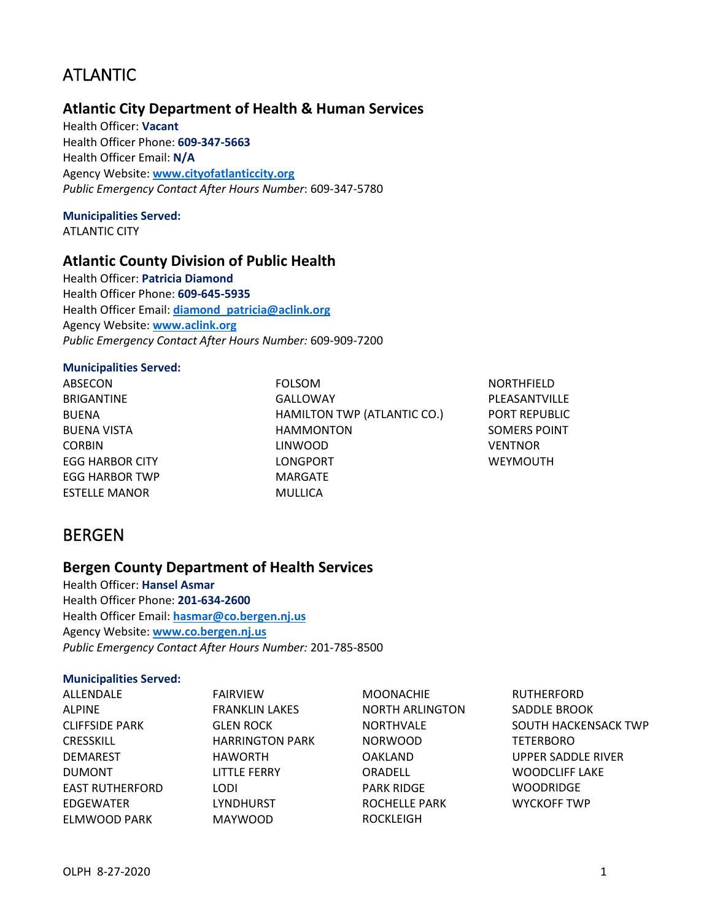# <span id="page-2-0"></span>ATLANTIC

# **Atlantic City Department of Health & Human Services**

Health Officer: **Vacant** Health Officer Phone: **609-347-5663** Health Officer Email: **N/A** Agency Website: **[www.cityofatlanticcity.org](http://www.cityofatlanticcity.org/)** *Public Emergency Contact After Hours Number*: 609-347-5780

# **Municipalities Served:**

ATLANTIC CITY

#### **Atlantic County Division of Public Health**

Health Officer: **Patricia Diamond** Health Officer Phone: **609-645-5935** Health Officer Email: **[diamond\\_patricia@aclink.org](mailto:diamond_patricia@aclink.org)** Agency Website: **[www.aclink.org](http://www.aclink.org/)** *Public Emergency Contact After Hours Number:* 609-909-7200

#### **Municipalities Served:**

ABSECON BRIGANTINE BUENA BUENA VISTA CORBIN EGG HARBOR CITY EGG HARBOR TWP ESTELLE MANOR

FOLSOM GALLOWAY HAMILTON TWP (ATLANTIC CO.) HAMMONTON LINWOOD LONGPORT MARGATE MULLICA

NORTHFIELD PLEASANTVILLE PORT REPUBLIC SOMERS POINT VENTNOR WEYMOUTH

# <span id="page-2-1"></span>BERGEN

### **Bergen County Department of Health Services**

Health Officer: **Hansel Asmar** Health Officer Phone: **201-634-2600** Health Officer Email: **[hasmar@co.bergen.nj.us](mailto:hasmar@co.bergen.nj.us)** Agency Website: **[www.co.bergen.nj.us](http://www.co.bergen.nj.us/)** *Public Emergency Contact After Hours Number:* 201-785-8500

#### **Municipalities Served:**

| ALLENDALE              | <b>FAIRVIEW</b>        | <b>MOONACHIE</b>       | <b>RUTHERFORD</b>     |
|------------------------|------------------------|------------------------|-----------------------|
| <b>ALPINE</b>          | <b>FRANKLIN LAKES</b>  | <b>NORTH ARLINGTON</b> | SADDLE BROOK          |
| <b>CLIFFSIDE PARK</b>  | <b>GLEN ROCK</b>       | <b>NORTHVALE</b>       | SOUTH HACKENSACK TWP  |
| <b>CRESSKILL</b>       | <b>HARRINGTON PARK</b> | <b>NORWOOD</b>         | <b>TETERBORO</b>      |
| <b>DEMAREST</b>        | <b>HAWORTH</b>         | <b>OAKLAND</b>         | UPPER SADDLE RIVER    |
| <b>DUMONT</b>          | <b>LITTLE FERRY</b>    | ORADELL                | <b>WOODCLIFF LAKE</b> |
| <b>EAST RUTHERFORD</b> | LODI                   | <b>PARK RIDGE</b>      | <b>WOODRIDGE</b>      |
| EDGEWATER              | <b>LYNDHURST</b>       | <b>ROCHELLE PARK</b>   | <b>WYCKOFF TWP</b>    |
| ELMWOOD PARK           | <b>MAYWOOD</b>         | <b>ROCKLEIGH</b>       |                       |
|                        |                        |                        |                       |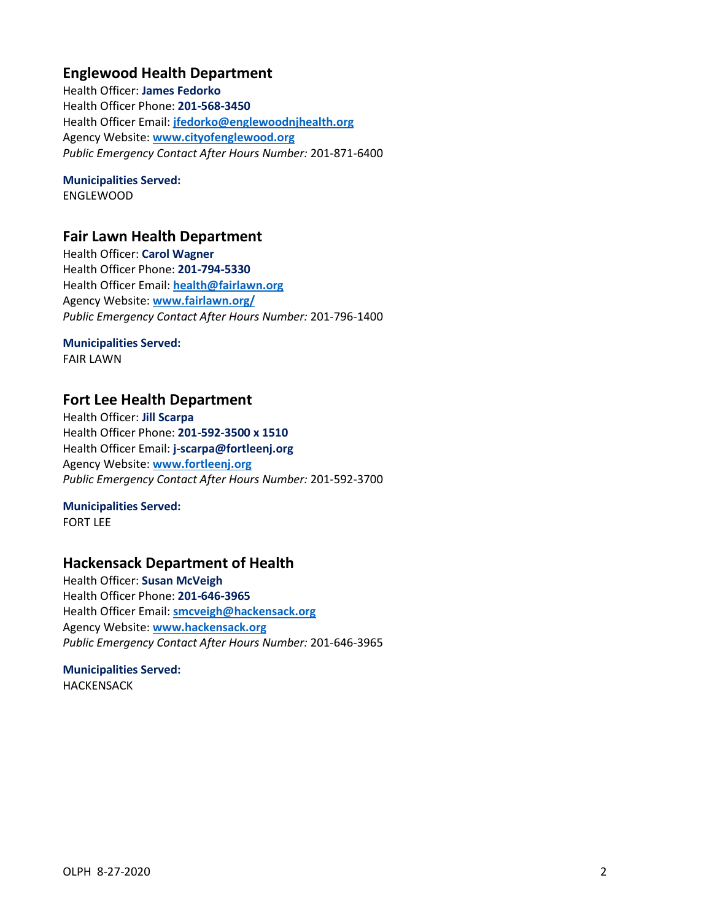# **Englewood Health Department**

Health Officer: **James Fedorko** Health Officer Phone: **201-568-3450** Health Officer Email: **[jfedorko@englewoodnjhealth.org](mailto:jfedorko@englewoodnjhealth.org)** Agency Website: **[www.cityofenglewood.org](http://www.cityofenglewood.org/)** *Public Emergency Contact After Hours Number:* 201-871-6400

# **Municipalities Served:**

ENGLEWOOD

### **Fair Lawn Health Department**

Health Officer: **Carol Wagner** Health Officer Phone: **201-794-5330** Health Officer Email: **[health@fairlawn.org](mailto:health@fairlawn.org)** Agency Website: **[www.fairlawn.org/](http://www.fairlawn.org/)** *Public Emergency Contact After Hours Number:* 201-796-1400

#### **Municipalities Served:**

FAIR LAWN

# **Fort Lee Health Department**

Health Officer: **Jill Scarpa** Health Officer Phone: **201-592-3500 x 1510** Health Officer Email: **j-scarpa@fortleenj.org** Agency Website: **[www.fortleenj.org](http://www.fortleenj.org/)** *Public Emergency Contact After Hours Number:* 201-592-3700

#### **Municipalities Served:**

FORT LEE

# **Hackensack Department of Health**

Health Officer: **Susan McVeigh** Health Officer Phone: **201-646-3965** Health Officer Email: **[smcveigh@hackensack.org](mailto:smcveigh@hackensack.org)** Agency Website: **[www.hackensack.org](http://www.hackensack.org/)** *Public Emergency Contact After Hours Number:* 201-646-3965

#### **Municipalities Served:** HACKENSACK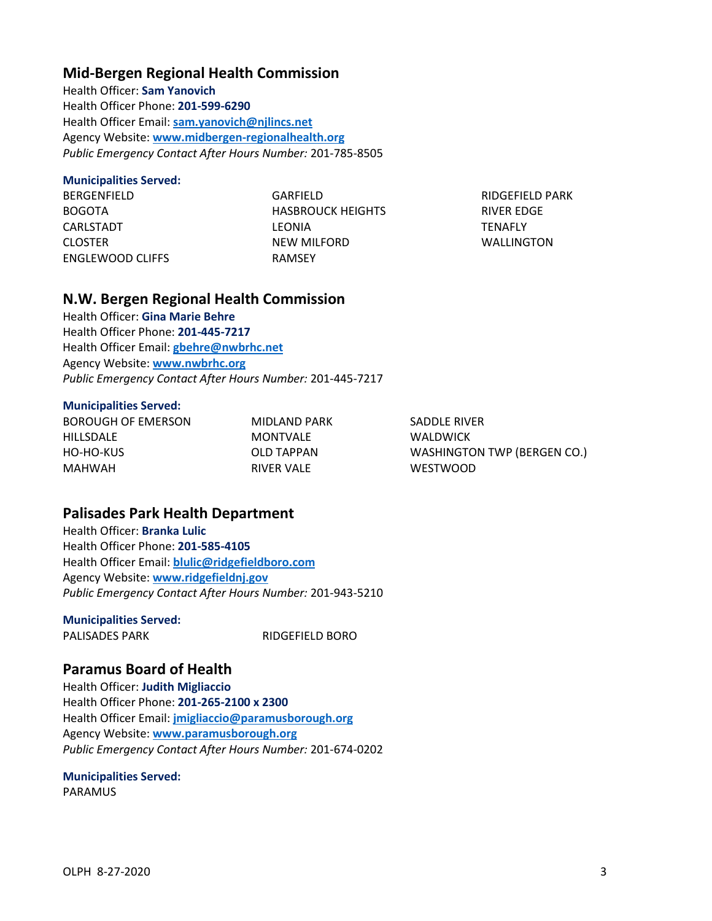### **Mid-Bergen Regional Health Commission**

Health Officer: **Sam Yanovich** Health Officer Phone: **201-599-6290** Health Officer Email: **[sam.yanovich@njlincs.net](mailto:sam.yanovich@njlincs.net)** Agency Website: **[www.midbergen-regionalhealth.org](http://www.midbergen-regionalhealth.org/)** *Public Emergency Contact After Hours Number:* 201-785-8505

#### **Municipalities Served:**

BERGENFIELD BOGOTA CARLSTADT CLOSTER ENGLEWOOD CLIFFS GARFIELD HASBROUCK HEIGHTS LEONIA NEW MILFORD RAMSEY

RIDGEFIELD PARK RIVER EDGE **TENAFLY** WALLINGTON

### **N.W. Bergen Regional Health Commission**

Health Officer: **Gina Marie Behre** Health Officer Phone: **201-445-7217** Health Officer Email: **[gbehre@nwbrhc.net](mailto:gbehre@nwbrhc.net)** Agency Website: **[www.nwbrhc.org](http://www.nwbrhc.org/)** *Public Emergency Contact After Hours Number:* 201-445-7217

#### **Municipalities Served:**

| MIDLAND PARK | SADDLE RIVER                       |
|--------------|------------------------------------|
| MONTVALE     | <b>WALDWICK</b>                    |
| OLD TAPPAN   | <b>WASHINGTON TWP (BERGEN CO.)</b> |
| RIVER VALE   | <b>WESTWOOD</b>                    |
|              |                                    |

# **Palisades Park Health Department**

Health Officer: **Branka Lulic** Health Officer Phone: **201-585-4105** Health Officer Email: **[blulic@ridgefieldboro.com](mailto:blulic@ridgefieldboro.com)** Agency Website: **[www.ridgefieldnj.gov](http://www.ridgefieldnj.gov/)** *Public Emergency Contact After Hours Number:* 201-943-5210

### **Municipalities Served:**

PALISADES PARK RIDGEFIELD BORO

### **Paramus Board of Health**

Health Officer: **Judith Migliaccio** Health Officer Phone: **201-265-2100 x 2300** Health Officer Email: **[jmigliaccio@paramusborough.org](mailto:jmigliaccio@paramusborough.org)** Agency Website: **[www.paramusborough.org](http://www.paramusborough.org/)** *Public Emergency Contact After Hours Number:* 201-674-0202

### **Municipalities Served:**

PARAMUS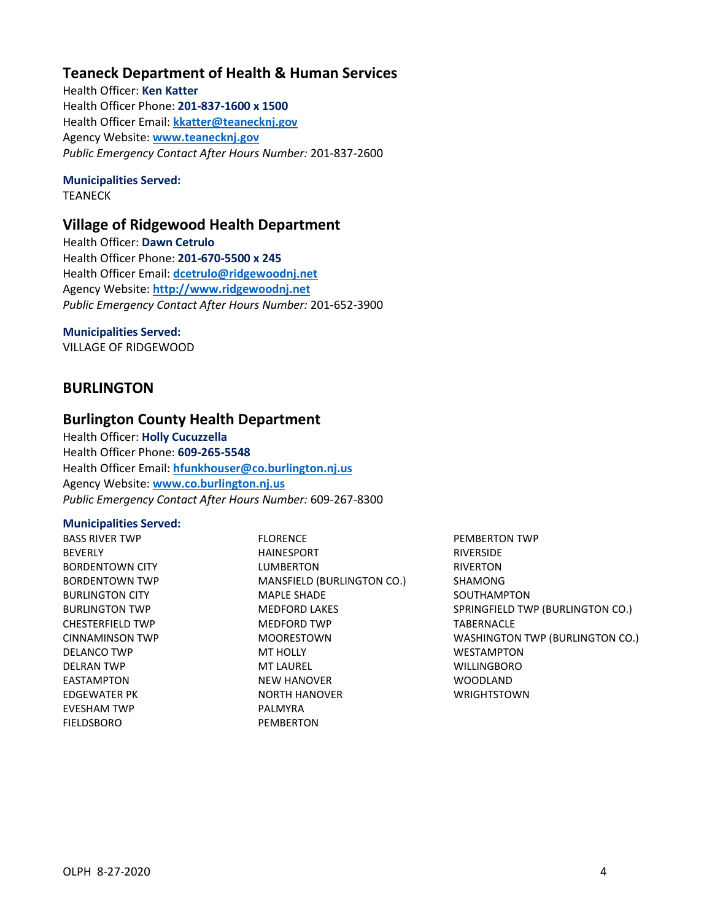# **Teaneck Department of Health & Human Services**

Health Officer: **Ken Katter** Health Officer Phone: **201-837-1600 x 1500** Health Officer Email: **[kkatter@teanecknj.gov](mailto:kkatter@teanecknj.gov)** Agency Website: **[www.teanecknj.gov](http://www.teanecknj.gov/)** *Public Emergency Contact After Hours Number:* 201-837-2600

### **Municipalities Served:**

TEANECK

# **Village of Ridgewood Health Department**

Health Officer: **Dawn Cetrulo** Health Officer Phone: **201-670-5500 x 245** Health Officer Email: **[dcetrulo@ridgewoodnj.net](mailto:dcetrulo@ridgewoodnj.net)** Agency Website: **[http://www.ridgewoodnj.net](http://www.ridgewoodnj.net/)** *Public Emergency Contact After Hours Number:* 201-652-3900

#### **Municipalities Served:**

VILLAGE OF RIDGEWOOD

# <span id="page-5-0"></span>**BURLINGTON**

### **Burlington County Health Department**

Health Officer: **Holly Cucuzzella** Health Officer Phone: **609-265-5548** Health Officer Email: **[hfunkhouser@co.burlington.nj.us](mailto:hfunkhouser@co.burlington.nj.us)** Agency Website: **[www.co.burlington.nj.us](http://www.co.burlington.nj.us/)** *Public Emergency Contact After Hours Number:* 609-267-8300

#### **Municipalities Served:**

BASS RIVER TWP BEVERLY BORDENTOWN CITY BORDENTOWN TWP BURLINGTON CITY BURLINGTON TWP CHESTERFIELD TWP CINNAMINSON TWP DELANCO TWP DELRAN TWP EASTAMPTON EDGEWATER PK EVESHAM TWP FIELDSBORO

FLORENCE HAINESPORT LUMBERTON MANSFIELD (BURLINGTON CO.) MAPLE SHADE MEDFORD LAKES MEDFORD TWP MOORESTOWN MT HOLLY MT LAUREL NEW HANOVER NORTH HANOVER PALMYRA **PEMBERTON** 

PEMBERTON TWP RIVERSIDE RIVERTON SHAMONG SOUTHAMPTON SPRINGFIELD TWP (BURLINGTON CO.) TABERNACLE WASHINGTON TWP (BURLINGTON CO.) WESTAMPTON WILLINGBORO WOODLAND WRIGHTSTOWN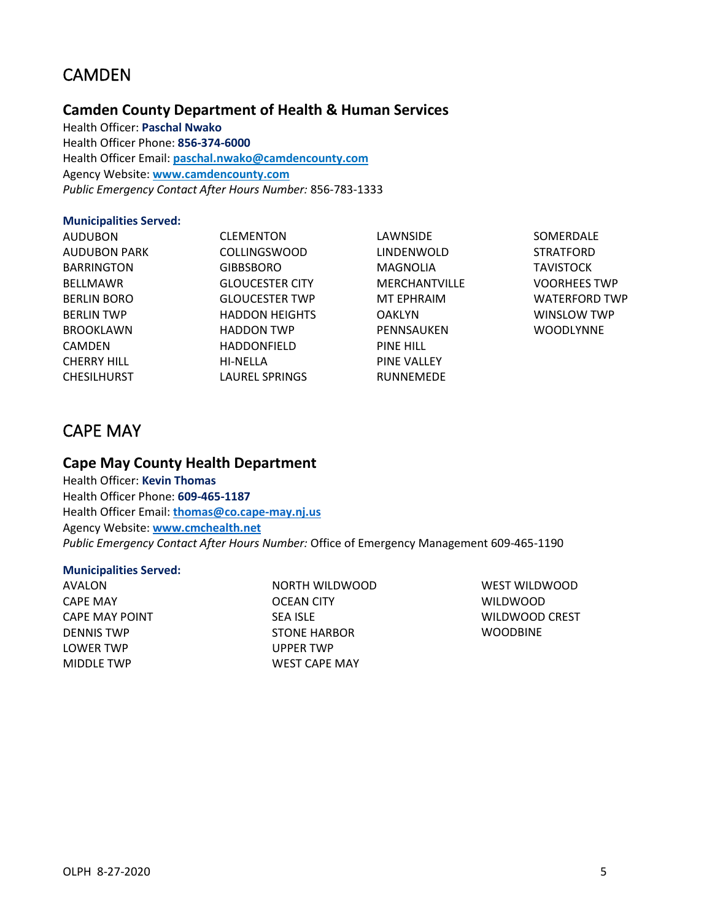# <span id="page-6-0"></span>CAMDEN

# **Camden County Department of Health & Human Services**

Health Officer: **Paschal Nwako** Health Officer Phone: **856-374-6000** Health Officer Email: **[paschal.nwako@camdencounty.com](mailto:paschal.nwako@camdencounty.com)** Agency Website: **[www.camdencounty.com](http://www.camdencounty.com/)** *Public Emergency Contact After Hours Number:* 856-783-1333

#### **Municipalities Served:**

AUDUBON AUDUBON PARK BARRINGTON BELLMAWR BERLIN BORO BERLIN TWP BROOKLAWN CAMDEN CHERRY HILL CHESILHURST

CLEMENTON COLLINGSWOOD GIBBSBORO GLOUCESTER CITY GLOUCESTER TWP HADDON HEIGHTS HADDON TWP HADDONFIELD HI-NELLA LAUREL SPRINGS

LAWNSIDE LINDENWOLD MAGNOLIA MERCHANTVILLE MT EPHRAIM OAKLYN PENNSAUKEN PINE HILL PINE VALLEY RUNNEMEDE

SOMERDALE **STRATFORD TAVISTOCK** VOORHEES TWP WATERFORD TWP WINSLOW TWP **WOODLYNNE** 

# <span id="page-6-1"></span>CAPE MAY

# **Cape May County Health Department**

Health Officer: **Kevin Thomas** Health Officer Phone: **609-465-1187** Health Officer Email: **[thomas@co.cape-may.nj.us](mailto:thomas@co.cape-may.nj.us)** Agency Website: **[www.cmchealth.net](http://www.cmchealth.net/)** *Public Emergency Contact After Hours Number:* Office of Emergency Management 609-465-1190

#### **Municipalities Served:**

AVALON CAPE MAY CAPE MAY POINT DENNIS TWP LOWER TWP MIDDLE TWP

NORTH WILDWOOD OCEAN CITY SEA ISLE STONE HARBOR UPPER TWP WEST CAPE MAY

WEST WILDWOOD WILDWOOD WILDWOOD CREST WOODBINE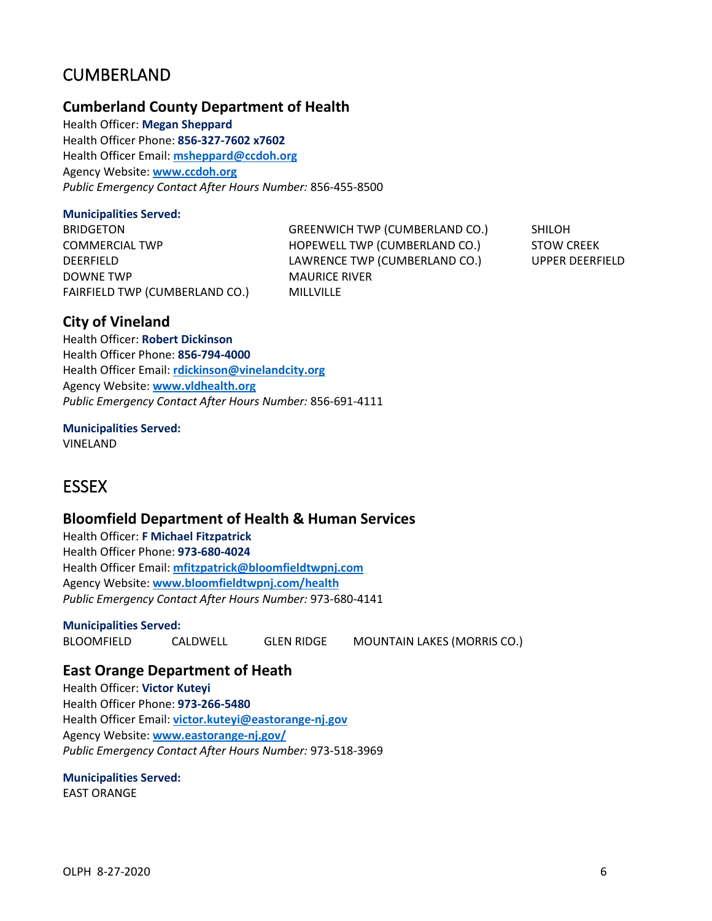# <span id="page-7-0"></span>CUMBERLAND

### **Cumberland County Department of Health**

Health Officer: **Megan Sheppard** Health Officer Phone: **856-327-7602 x7602** Health Officer Email: **[msheppard@ccdoh.org](mailto:msheppard@ccdoh.org)** Agency Website: **[www.ccdoh.org](http://www.ccdoh.org/)** *Public Emergency Contact After Hours Number:* 856-455-8500

#### **Municipalities Served:**

BRIDGETON COMMERCIAL TWP DEERFIELD DOWNE TWP FAIRFIELD TWP (CUMBERLAND CO.) GREENWICH TWP (CUMBERLAND CO.) HOPEWELL TWP (CUMBERLAND CO.) LAWRENCE TWP (CUMBERLAND CO.) MAURICE RIVER MILLVILLE

SHILOH STOW CREEK UPPER DEERFIELD

# **City of Vineland**

Health Officer: **Robert Dickinson** Health Officer Phone: **856-794-4000** Health Officer Email: **[rdickinson@vinelandcity.org](mailto:rdickinson@vinelandcity.org)** Agency Website: **[www.vldhealth.org](http://www.vldhealth.org/)** *Public Emergency Contact After Hours Number:* 856-691-4111

**Municipalities Served:** VINELAND

# <span id="page-7-1"></span>**ESSEX**

### **Bloomfield Department of Health & Human Services**

Health Officer: **F Michael Fitzpatrick** Health Officer Phone: **973-680-4024** Health Officer Email: **[mfitzpatrick@bloomfieldtwpnj.com](mailto:mfitzpatrick@bloomfieldtwpnj.com)** Agency Website: **[www.bloomfieldtwpnj.com/health](http://www.bloomfieldtwpnj.com/health)** *Public Emergency Contact After Hours Number:* 973-680-4141

#### **Municipalities Served:**

BLOOMFIELD CALDWELL GLEN RIDGE MOUNTAIN LAKES (MORRIS CO.)

# **East Orange Department of Heath**

Health Officer: **Victor Kuteyi** Health Officer Phone: **973-266-5480** Health Officer Email: **[victor.kuteyi@eastorange-nj.gov](mailto:victor.kuteyi@eastorange-nj.gov)** Agency Website: **[www.eastorange-nj.gov/](http://www.eastorange-nj.gov/)** *Public Emergency Contact After Hours Number:* 973-518-3969

### **Municipalities Served:**

EAST ORANGE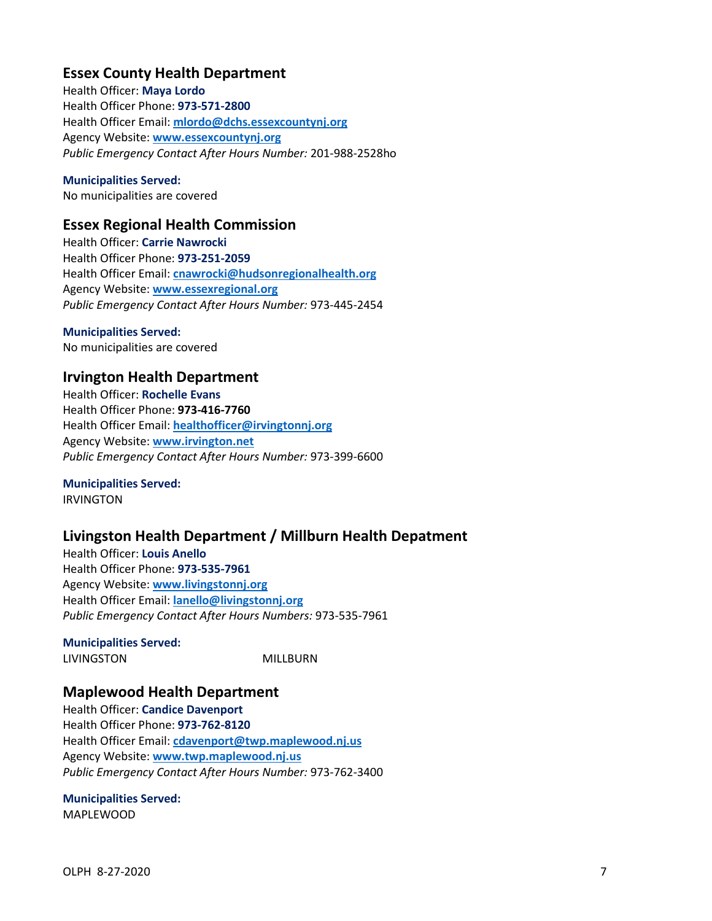# **Essex County Health Department**

Health Officer: **Maya Lordo** Health Officer Phone: **973-571-2800** Health Officer Email: **mlordo@dchs.essexcountynj.org** Agency Website: **[www.essexcountynj.org](http://www.essexcountynj.org/)** *Public Emergency Contact After Hours Number:* 201-988-2528ho

#### **Municipalities Served:**

No municipalities are covered

### **Essex Regional Health Commission**

Health Officer: **Carrie Nawrocki** Health Officer Phone: **973-251-2059** Health Officer Email: **[cnawrocki@hudsonregionalhealth.org](mailto:cnawrocki@hudsonregionalhealth.org)** Agency Website: **[www.essexregional.org](http://www.essexregional.org/)** *Public Emergency Contact After Hours Number:* 973-445-2454

#### **Municipalities Served:**

No municipalities are covered

### **Irvington Health Department**

Health Officer: **Rochelle Evans** Health Officer Phone: **973-416-7760** Health Officer Email: **[healthofficer@irvingtonnj.org](mailto:healthofficer@irvingtonnj.org)** Agency Website: **[www.irvington.net](http://www.irvington.net/)** *Public Emergency Contact After Hours Number:* 973-399-6600

#### **Municipalities Served:** IRVINGTON

# **Livingston Health Department / Millburn Health Depatment**

Health Officer: **Louis Anello** Health Officer Phone: **973-535-7961** Agency Website: **[www.livingstonnj.org](http://www.livingstonnj.org/)** Health Officer Email: **[lanello@livingstonnj.org](mailto:lanello@livingstonnj.org)** *Public Emergency Contact After Hours Numbers:* 973-535-7961

**Municipalities Served:** LIVINGSTON MILLBURN

### **Maplewood Health Department**

Health Officer: **Candice Davenport** Health Officer Phone: **973-762-8120** Health Officer Email: **[cdavenport@twp.maplewood.nj.us](mailto:cdavenport@twp.maplewood.nj.us)** Agency Website: **[www.twp.maplewood.nj.us](http://www.twp.maplewood.nj.us/)** *Public Emergency Contact After Hours Number:* 973-762-3400

### **Municipalities Served:**

MAPLEWOOD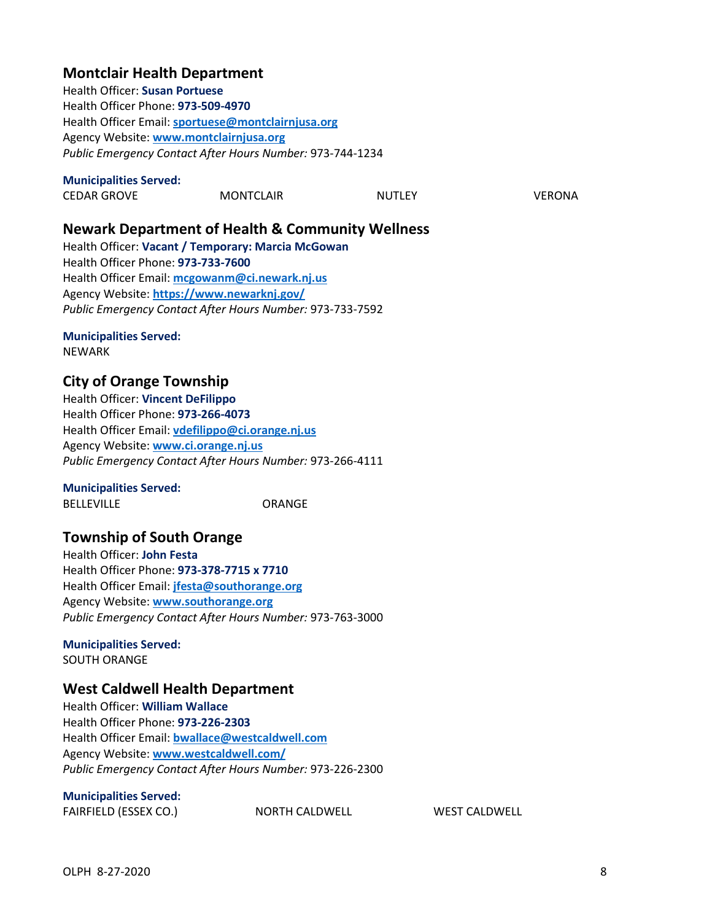# **Montclair Health Department**

Health Officer: **Susan Portuese** Health Officer Phone: **973-509-4970** Health Officer Email: **[sportuese@montclairnjusa.org](mailto:sportuese@montclairnjusa.org)** Agency Website: **[www.montclairnjusa.org](http://www.montclairnjusa.org/)** *Public Emergency Contact After Hours Number:* 973-744-1234

#### **Municipalities Served:**

| .                  |                  |               |        |
|--------------------|------------------|---------------|--------|
| <b>CEDAR GROVE</b> | <b>MONTCLAIR</b> | <b>NUTLEY</b> | VERONA |
|                    |                  |               |        |

# **Newark Department of Health & Community Wellness**

Health Officer: **Vacant / Temporary: Marcia McGowan** Health Officer Phone: **973-733-7600** Health Officer Email: **[mcgowanm@ci.newark.nj.us](mailto:mcgowanm@ci.newark.nj.us)** Agency Website: **<https://www.newarknj.gov/>** *Public Emergency Contact After Hours Number:* 973-733-7592

# **Municipalities Served:**

NEWARK

# **City of Orange Township**

Health Officer: **Vincent DeFilippo** Health Officer Phone: **973-266-4073** Health Officer Email: **[vdefilippo@ci.orange.nj.us](mailto:vdefilippo@ci.orange.nj.us)** Agency Website: **[www.ci.orange.nj.us](http://www.ci.orange.nj.us/)** *Public Emergency Contact After Hours Number:* 973-266-4111

### **Municipalities Served:**

BELLEVILLE ORANGE

# **Township of South Orange**

Health Officer: **John Festa** Health Officer Phone: **973-378-7715 x 7710** Health Officer Email: **[jfesta@southorange.org](mailto:jfesta@southorange.org)** Agency Website: **[www.southorange.org](http://www.southorange.org/)** *Public Emergency Contact After Hours Number:* 973-763-3000

**Municipalities Served:** SOUTH ORANGE

# **West Caldwell Health Department**

Health Officer: **William Wallace** Health Officer Phone: **973-226-2303** Health Officer Email: **[bwallace@westcaldwell.com](mailto:bwallace@westcaldwell.com)** Agency Website: **[www.westcaldwell.com/](http://www.westcaldwell.com/)** *Public Emergency Contact After Hours Number:* 973-226-2300

#### **Municipalities Served:**

FAIRFIELD (ESSEX CO.) NORTH CALDWELL WEST CALDWELL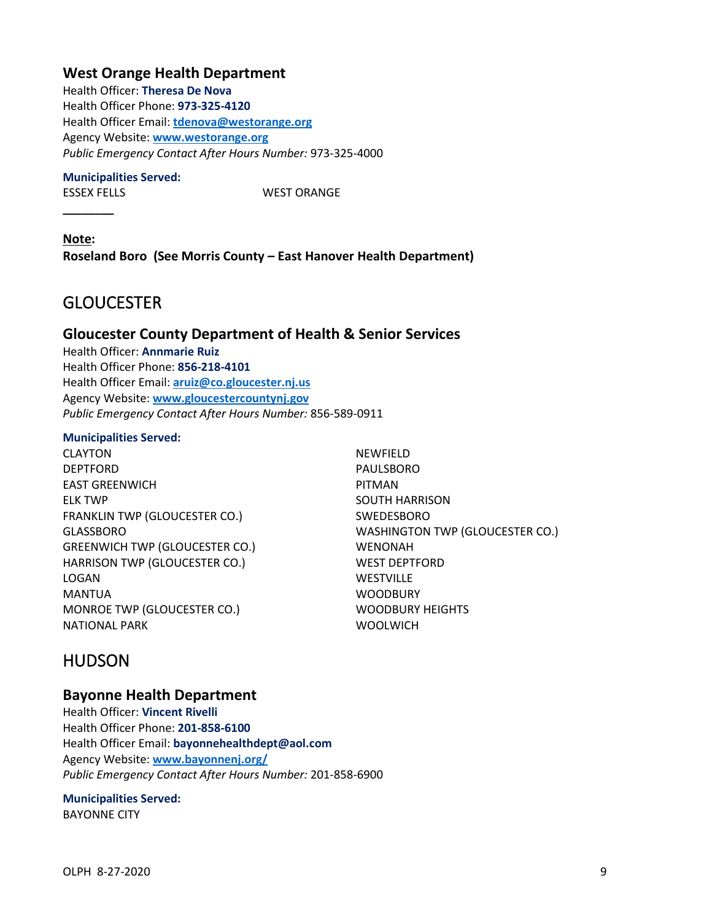# **West Orange Health Department**

Health Officer: **Theresa De Nova** Health Officer Phone: **973-325-4120** Health Officer Email: **[tdenova@westorange.org](mailto:tdenova@westorange.org)** Agency Website: **[www.westorange.org](http://www.westorange.org/)** *Public Emergency Contact After Hours Number:* 973-325-4000

#### **Municipalities Served:**

**\_\_\_\_\_\_\_\_**

ESSEX FELLS WEST ORANGE

**Note: Roseland Boro (See Morris County – East Hanover Health Department)**

# <span id="page-10-0"></span>**GLOUCESTER**

### **Gloucester County Department of Health & Senior Services**

Health Officer: **Annmarie Ruiz** Health Officer Phone: **856-218-4101** Health Officer Email: **[aruiz@co.gloucester.nj.us](mailto:aruiz@co.gloucester.nj.us)** Agency Website: **[www.gloucestercountynj.gov](http://www.gloucestercountynj.gov/)** *Public Emergency Contact After Hours Number:* 856-589-0911

#### **Municipalities Served:**

CLAYTON DEPTFORD EAST GREENWICH ELK TWP FRANKLIN TWP (GLOUCESTER CO.) GLASSBORO GREENWICH TWP (GLOUCESTER CO.) HARRISON TWP (GLOUCESTER CO.) LOGAN MANTUA MONROE TWP (GLOUCESTER CO.) NATIONAL PARK

NEWFIELD PAULSBORO PITMAN SOUTH HARRISON SWEDESBORO WASHINGTON TWP (GLOUCESTER CO.) WENONAH WEST DEPTFORD **WESTVILLE WOODBURY** WOODBURY HEIGHTS WOOLWICH

# <span id="page-10-1"></span>HUDSON

### **Bayonne Health Department**

Health Officer: **Vincent Rivelli** Health Officer Phone: **201-858-6100** Health Officer Email: **bayonnehealthdept@aol.com** Agency Website: **[www.bayonnenj.org/](http://www.bayonnenj.org/)** *Public Emergency Contact After Hours Number:* 201-858-6900

# **Municipalities Served:**

BAYONNE CITY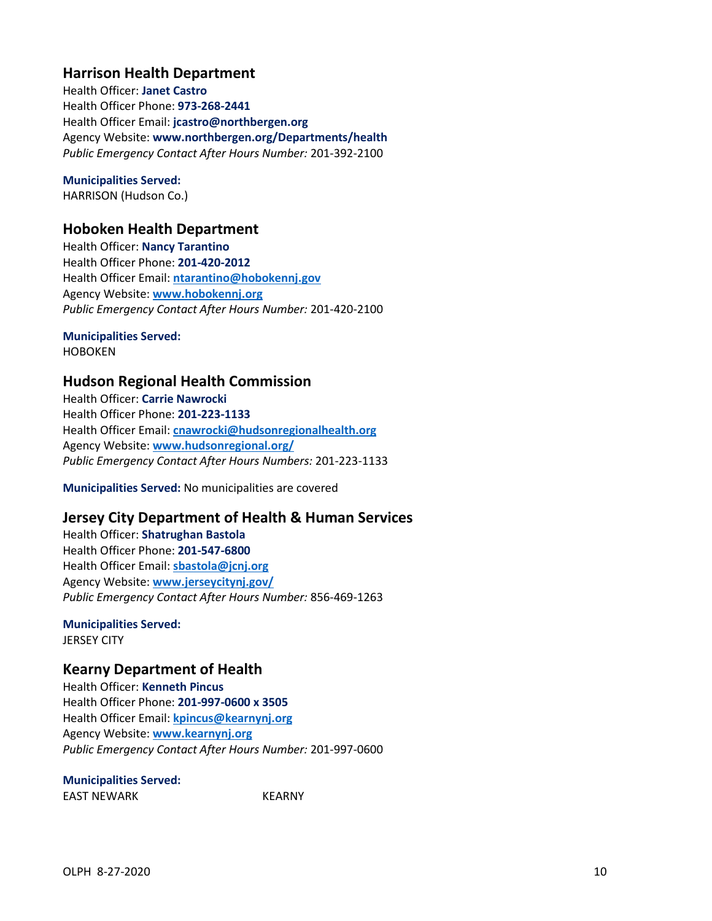# **Harrison Health Department**

Health Officer: **Janet Castro** Health Officer Phone: **973-268-2441** Health Officer Email: **jcastro@northbergen.org** Agency Website: **www.northbergen.org/Departments/health** *Public Emergency Contact After Hours Number:* 201-392-2100

### **Municipalities Served:**

HARRISON (Hudson Co.)

### **Hoboken Health Department**

Health Officer: **Nancy Tarantino** Health Officer Phone: **201-420-2012** Health Officer Email: **[ntarantino@hobokennj.gov](mailto:ntarantino@hobokennj.gov)** Agency Website: **[www.hobokennj.org](http://www.hobokennj.org/)** *Public Emergency Contact After Hours Number:* 201-420-2100

# **Municipalities Served:**

HOBOKEN

# **Hudson Regional Health Commission**

Health Officer: **Carrie Nawrocki** Health Officer Phone: **201-223-1133** Health Officer Email: **[cnawrocki@hudsonregionalhealth.org](mailto:cnawrocki@hudsonregionalhealth.org)** Agency Website: **[www.hudsonregional.org/](http://www.hudsonregional.org/)** *Public Emergency Contact After Hours Numbers:* 201-223-1133

**Municipalities Served:** No municipalities are covered

# **Jersey City Department of Health & Human Services**

Health Officer: **Shatrughan Bastola** Health Officer Phone: **201-547-6800** Health Officer Email: **[sbastola@jcnj.org](mailto:sbastola@jcnj.org)** Agency Website: **[www.jerseycitynj.gov/](http://www.jerseycitynj.gov/)** *Public Emergency Contact After Hours Number:* 856-469-1263

# **Municipalities Served:**

JERSEY CITY

### **Kearny Department of Health**

Health Officer: **Kenneth Pincus** Health Officer Phone: **201-997-0600 x 3505** Health Officer Email: **[kpincus@kearnynj.org](mailto:kpincus@kearnynj.org)** Agency Website: **[www.kearnynj.org](http://www.kearnynj.org/)** *Public Emergency Contact After Hours Number:* 201-997-0600

**Municipalities Served:**

EAST NEWARK KEARNY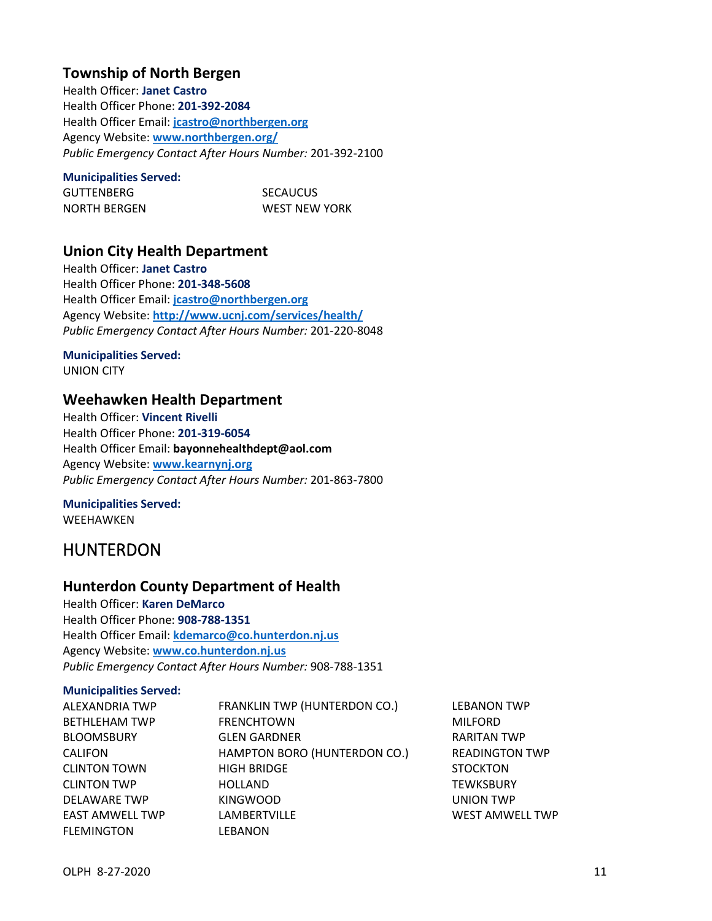# **Township of North Bergen**

Health Officer: **Janet Castro** Health Officer Phone: **201-392-2084** Health Officer Email: **[jcastro@northbergen.org](mailto:jcastro@northbergen.org)** Agency Website: **[www.northbergen.org/](http://www.northbergen.org/)** *Public Emergency Contact After Hours Number:* 201-392-2100

#### **Municipalities Served:**

| GUTTENBERG   | <b>SECAUCUS</b> |
|--------------|-----------------|
| NORTH BERGEN | WEST NEW YORK   |

# <span id="page-12-0"></span>**Union City Health Department**

Health Officer: **Janet Castro** Health Officer Phone: **201-348-5608** Health Officer Email: **[jcastro@northbergen.org](mailto:jcastro@northbergen.org)** Agency Website: **<http://www.ucnj.com/services/health/>** *Public Emergency Contact After Hours Number:* 201-220-8048

# **Municipalities Served:**

UNION CITY

### **Weehawken Health Department**

Health Officer: **Vincent Rivelli** Health Officer Phone: **201-319-6054** Health Officer Email: **bayonnehealthdept@aol.com** Agency Website: **[www.kearnynj.org](http://www.kearnynj.org/)** *Public Emergency Contact After Hours Number:* 201-863-7800

# **Municipalities Served:**

WEEHAWKEN

# HUNTERDON

# **Hunterdon County Department of Health**

Health Officer: **Karen DeMarco** Health Officer Phone: **908-788-1351** Health Officer Email: **[kdemarco@co.hunterdon.nj.us](mailto:kdemarco@co.hunterdon.nj.us)** Agency Website: **[www.co.hunterdon.nj.us](http://www.co.hunterdon.nj.us/)** *Public Emergency Contact After Hours Number:* 908-788-1351

#### **Municipalities Served:**

| ALEXANDRIA TWP         | FRANKLIN TWP (HUNTERDON CO.) | <b>LEBANON TWP</b>     |
|------------------------|------------------------------|------------------------|
| <b>BETHLEHAM TWP</b>   | <b>FRENCHTOWN</b>            | <b>MILFORD</b>         |
| <b>BLOOMSBURY</b>      | <b>GLEN GARDNER</b>          | <b>RARITAN TWP</b>     |
| <b>CALIFON</b>         | HAMPTON BORO (HUNTERDON CO.) | <b>READINGTON TWP</b>  |
| <b>CLINTON TOWN</b>    | <b>HIGH BRIDGE</b>           | <b>STOCKTON</b>        |
| <b>CLINTON TWP</b>     | <b>HOLLAND</b>               | <b>TEWKSBURY</b>       |
| <b>DELAWARE TWP</b>    | <b>KINGWOOD</b>              | UNION TWP              |
| <b>EAST AMWELL TWP</b> | <b>LAMBERTVILLE</b>          | <b>WEST AMWELL TWP</b> |
| <b>FLEMINGTON</b>      | LEBANON                      |                        |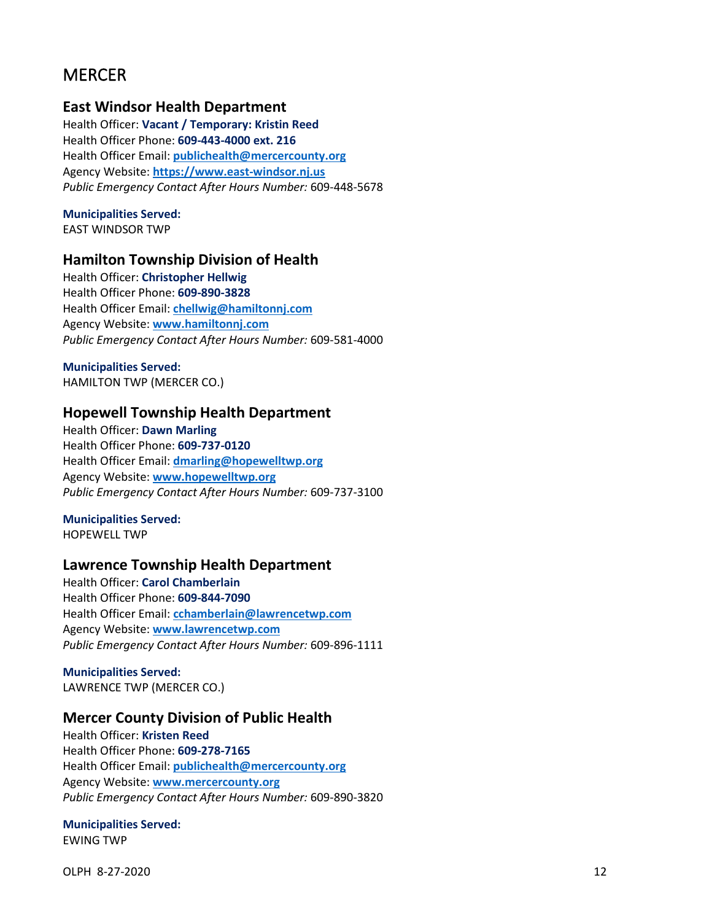# <span id="page-13-0"></span>**MERCER**

### **East Windsor Health Department**

Health Officer: **Vacant / Temporary: Kristin Reed** Health Officer Phone: **609-443-4000 ext. 216** Health Officer Email: **[publichealth@mercercounty.org](mailto:publichealth@mercercounty.org)** Agency Website: **[https://www.east-windsor.nj.us](https://www.east-windsor.nj.us/health-department)** *Public Emergency Contact After Hours Number:* 609-448-5678

**Municipalities Served:**

EAST WINDSOR TWP

### **Hamilton Township Division of Health**

Health Officer: **Christopher Hellwig** Health Officer Phone: **609-890-3828** Health Officer Email: **[chellwig@hamiltonnj.com](mailto:chellwig@hamiltonnj.com)** Agency Website: **[www.hamiltonnj.com](http://www.hamiltonnj.com/)** *Public Emergency Contact After Hours Number:* 609-581-4000

**Municipalities Served:**

HAMILTON TWP (MERCER CO.)

### **Hopewell Township Health Department**

Health Officer: **Dawn Marling** Health Officer Phone: **609-737-0120** Health Officer Email: **[dmarling@hopewelltwp.org](mailto:dmarling@hopewelltwp.org)** Agency Website: **[www.hopewelltwp.org](http://www.hopewelltwp.org/)** *Public Emergency Contact After Hours Number:* 609-737-3100

**Municipalities Served:** HOPEWELL TWP

### **Lawrence Township Health Department**

Health Officer: **Carol Chamberlain** Health Officer Phone: **609-844-7090** Health Officer Email: **[cchamberlain@lawrencetwp.com](mailto:cchamberlain@lawrencetwp.com)** Agency Website: **[www.lawrencetwp.com](http://www.lawrencetwp.com/)** *Public Emergency Contact After Hours Number:* 609-896-1111

**Municipalities Served:** LAWRENCE TWP (MERCER CO.)

### **Mercer County Division of Public Health**

Health Officer: **Kristen Reed** Health Officer Phone: **609-278-7165** Health Officer Email: **[publichealth@mercercounty.org](mailto:publichealth@mercercounty.org)** Agency Website: **[www.mercercounty.org](http://www.mercercounty.org/)** *Public Emergency Contact After Hours Number:* 609-890-3820

**Municipalities Served:** EWING TWP

OLPH 8-27-2020 12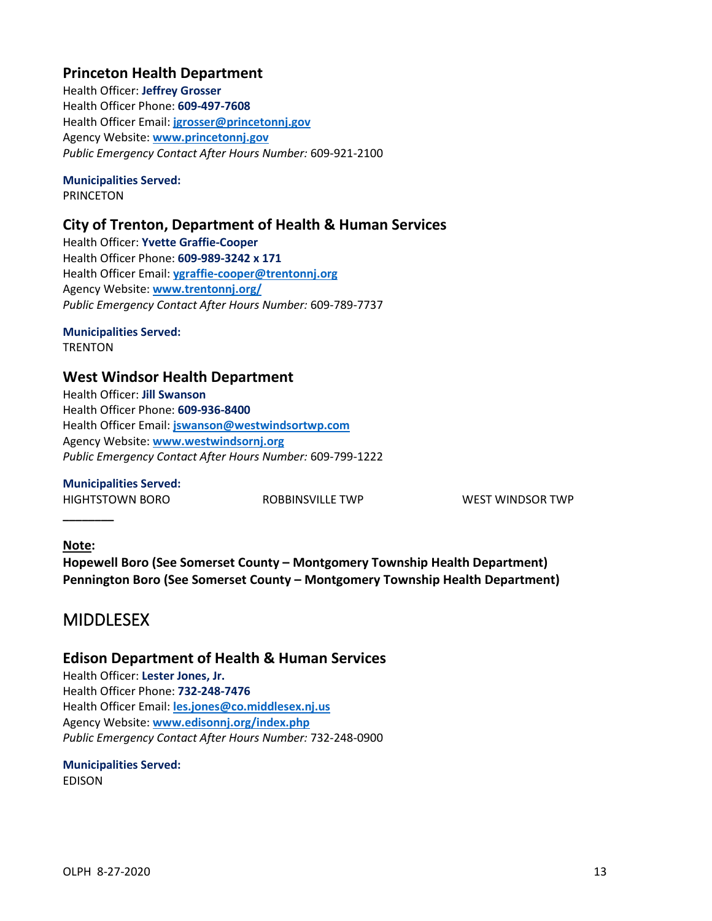# **Princeton Health Department**

Health Officer: **Jeffrey Grosser** Health Officer Phone: **609-497-7608** Health Officer Email: **[jgrosser@princetonnj.gov](mailto:jgrosser@princetonnj.gov)** Agency Website: **[www.princetonnj.gov](http://www.princetonnj.gov/)** *Public Emergency Contact After Hours Number:* 609-921-2100

# **Municipalities Served:**

PRINCETON

# **City of Trenton, Department of Health & Human Services**

Health Officer: **Yvette Graffie-Cooper** Health Officer Phone: **609-989-3242 x 171** Health Officer Email: **[ygraffie-cooper@trentonnj.org](mailto:ygraffie-cooper@trentonnj.org)** Agency Website: **[www.trentonnj.org/](http://www.trentonnj.org/)** *Public Emergency Contact After Hours Number:* 609-789-7737

#### **Municipalities Served: TRENTON**

# **West Windsor Health Department**

Health Officer: **Jill Swanson** Health Officer Phone: **609-936-8400** Health Officer Email: **[jswanson@westwindsortwp.com](mailto:jswanson@westwindsortwp.com)** Agency Website: **[www.westwindsornj.org](http://www.westwindsornj.org/)** *Public Emergency Contact After Hours Number:* 609-799-1222

# **Municipalities Served:**

HIGHTSTOWN BORO ROBBINSVILLE TWP WEST WINDSOR TWP

### **Note:**

<span id="page-14-0"></span>**\_\_\_\_\_\_\_\_**

**Hopewell Boro (See Somerset County – Montgomery Township Health Department) Pennington Boro (See Somerset County – Montgomery Township Health Department)**

# **MIDDLESEX**

# **Edison Department of Health & Human Services**

Health Officer: **Lester Jones, Jr.** Health Officer Phone: **732-248-7476** Health Officer Email: **[les.jones@co.middlesex.nj.us](mailto:les.jones@co.middlesex.nj.us)** Agency Website: **[www.edisonnj.org/index.php](http://www.edisonnj.org/index.php)** *Public Emergency Contact After Hours Number:* 732-248-0900

#### **Municipalities Served:** EDISON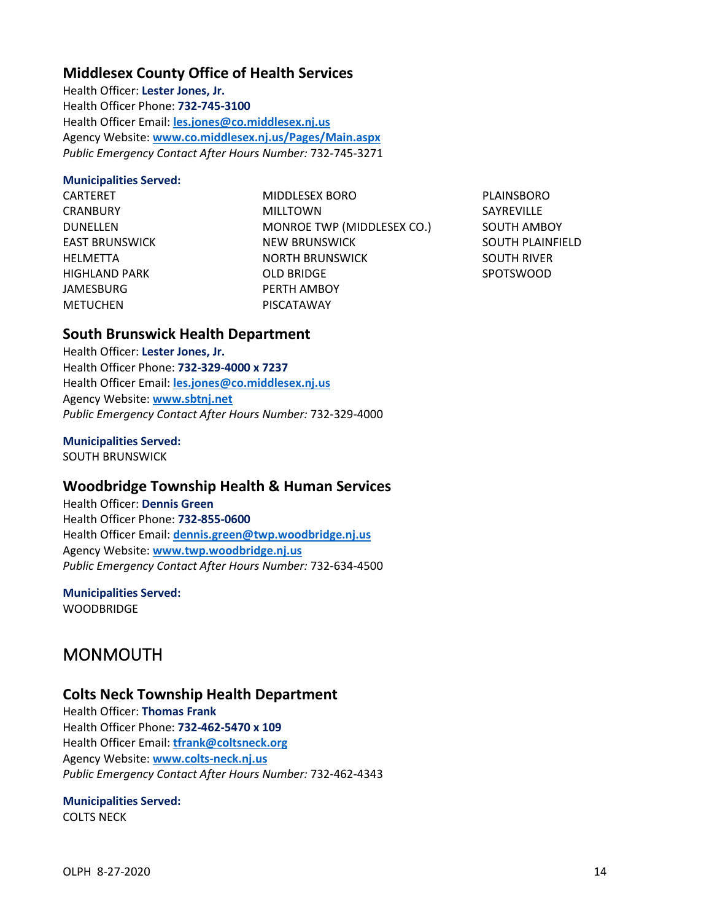# **Middlesex County Office of Health Services**

Health Officer: **Lester Jones, Jr.** Health Officer Phone: **732-745-3100** Health Officer Email: **[les.jones@co.middlesex.nj.us](mailto:les.jones@co.middlesex.nj.us)** Agency Website: **[www.co.middlesex.nj.us/Pages/Main.aspx](http://www.co.middlesex.nj.us/Pages/Main.aspx)** *Public Emergency Contact After Hours Number:* 732-745-3271

#### **Municipalities Served:**

CARTERET **CRANBURY** DUNELLEN EAST BRUNSWICK HELMETTA HIGHLAND PARK JAMESBURG METUCHEN

MIDDLESEX BORO MILLTOWN MONROE TWP (MIDDLESEX CO.) NEW BRUNSWICK NORTH BRUNSWICK OLD BRIDGE PERTH AMBOY PISCATAWAY

PLAINSBORO SAYREVILLE SOUTH AMBOY SOUTH PLAINFIELD SOUTH RIVER SPOTSWOOD

# **South Brunswick Health Department**

Health Officer: **Lester Jones, Jr.** Health Officer Phone: **732-329-4000 x 7237** Health Officer Email: **[les.jones@co.middlesex.nj.us](mailto:les.jones@co.middlesex.nj.us)** Agency Website: **[www.sbtnj.net](http://www.sbtnj.net/)** *Public Emergency Contact After Hours Number:* 732-329-4000

#### **Municipalities Served:**

SOUTH BRUNSWICK

# **Woodbridge Township Health & Human Services**

Health Officer: **Dennis Green** Health Officer Phone: **732-855-0600** Health Officer Email: **[dennis.green@twp.woodbridge.nj.us](mailto:dennis.green@twp.woodbridge.nj.us)** Agency Website: **[www.twp.woodbridge.nj.us](http://www.twp.woodbridge.nj.us/)** *Public Emergency Contact After Hours Number:* 732-634-4500

# **Municipalities Served:**

<span id="page-15-0"></span>**WOODBRIDGE** 

# MONMOUTH

### **Colts Neck Township Health Department**

Health Officer: **Thomas Frank** Health Officer Phone: **732-462-5470 x 109** Health Officer Email: **[tfrank@coltsneck.org](mailto:tfrank@coltsneck.org)** Agency Website: **[www.colts-neck.nj.us](http://www.colts-neck.nj.us/)** *Public Emergency Contact After Hours Number:* 732-462-4343

### **Municipalities Served:**

COLTS NECK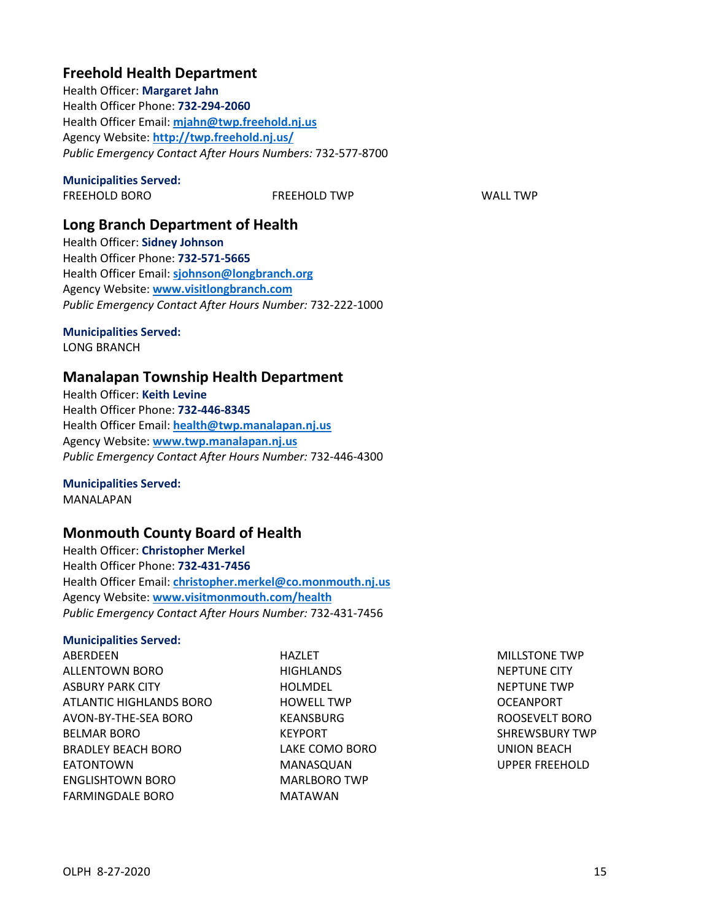# **Freehold Health Department**

Health Officer: **Margaret Jahn** Health Officer Phone: **732-294-2060** Health Officer Email: **[mjahn@twp.freehold.nj.us](mailto:mjahn@twp.freehold.nj.us)** Agency Website: **<http://twp.freehold.nj.us/>** *Public Emergency Contact After Hours Numbers:* 732-577-8700

#### **Municipalities Served:**

FREEHOLD BORO FREEHOLD TWP WALL TWP

# **Long Branch Department of Health**

Health Officer: **Sidney Johnson** Health Officer Phone: **732-571-5665** Health Officer Email: **[sjohnson@longbranch.org](mailto:sjohnson@longbranch.org)** Agency Website: **[www.visitlongbranch.com](http://www.visitlongbranch.com/)** *Public Emergency Contact After Hours Number:* 732-222-1000

### **Municipalities Served:**

LONG BRANCH

### **Manalapan Township Health Department**

Health Officer: **Keith Levine** Health Officer Phone: **732-446-8345** Health Officer Email: **[health@twp.manalapan.nj.us](mailto:health@twp.manalapan.nj.us)** Agency Website: **[www.twp.manalapan.nj.us](http://www.twp.manalapan.nj.us/)** *Public Emergency Contact After Hours Number:* 732-446-4300

#### **Municipalities Served:** MANALAPAN

# **Monmouth County Board of Health**

Health Officer: **Christopher Merkel** Health Officer Phone: **732-431-7456** Health Officer Email: **[christopher.merkel@co.monmouth.nj.us](mailto:christopher.merkel@co.monmouth.nj.us)** Agency Website: **[www.visitmonmouth.com/health](http://www.visitmonmouth.com/health)** *Public Emergency Contact After Hours Number:* 732-431-7456

#### **Municipalities Served:**

**ABERDEEN** ALLENTOWN BORO ASBURY PARK CITY ATLANTIC HIGHLANDS BORO AVON-BY-THE-SEA BORO BELMAR BORO BRADLEY BEACH BORO EATONTOWN ENGLISHTOWN BORO FARMINGDALE BORO

HAZI FT **HIGHLANDS** HOLMDEL HOWELL TWP KEANSBURG KEYPORT LAKE COMO BORO MANASQUAN MARLBORO TWP MATAWAN

MILLSTONE TWP NEPTUNE CITY NEPTUNE TWP OCEANPORT ROOSEVELT BORO SHREWSBURY TWP UNION BEACH UPPER FREEHOLD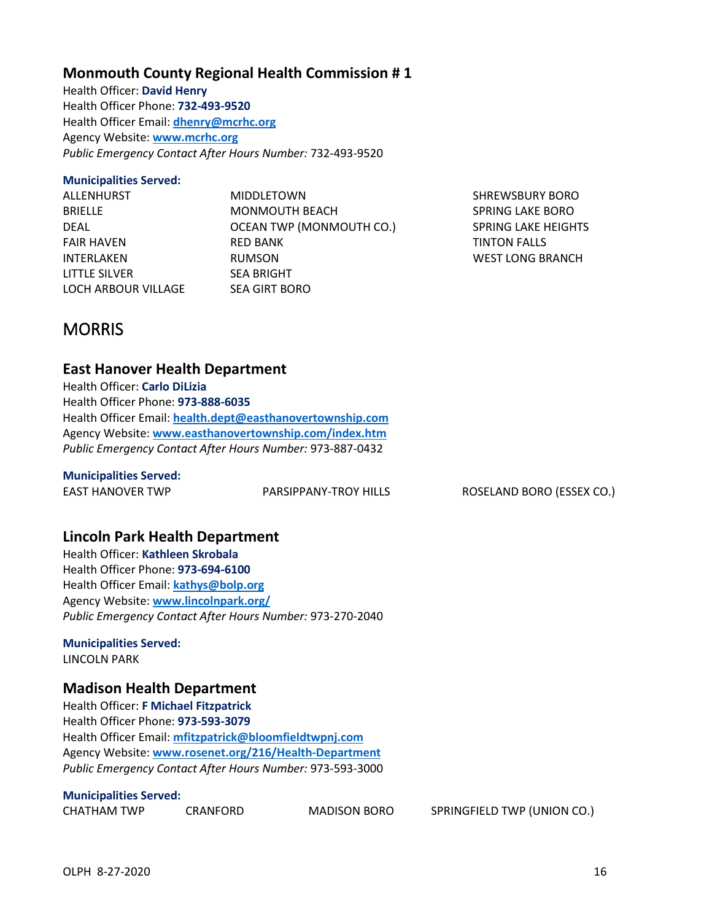# **Monmouth County Regional Health Commission # 1**

Health Officer: **David Henry** Health Officer Phone: **732-493-9520** Health Officer Email: **[dhenry@mcrhc.org](mailto:dhenry@mcrhc.org)** Agency Website: **[www.mcrhc.org](http://www.mcrhc.org/)** *Public Emergency Contact After Hours Number:* 732-493-9520

# **Municipalities Served:**

| ALLENHURST          | <b>MIDDLETOWN</b>        |
|---------------------|--------------------------|
| <b>BRIELLE</b>      | MONMOUTH BEACH           |
| DEAL                | OCEAN TWP (MONMOUTH CO.) |
| <b>FAIR HAVEN</b>   | <b>RED BANK</b>          |
| <b>INTERLAKEN</b>   | <b>RUMSON</b>            |
| LITTLE SILVER       | <b>SEA BRIGHT</b>        |
| LOCH ARBOUR VILLAGE | <b>SEA GIRT BORO</b>     |

SHREWSBURY BORO SPRING LAKE BORO SPRING LAKE HEIGHTS TINTON FALLS WEST LONG BRANCH

# <span id="page-17-0"></span>**MORRIS**

# **East Hanover Health Department**

Health Officer: **Carlo DiLizia** Health Officer Phone: **973-888-6035** Health Officer Email: **[health.dept@easthanovertownship.com](mailto:health.dept@easthanovertownship.com)** Agency Website: **[www.easthanovertownship.com/index.htm](http://www.easthanovertownship.com/index.htm)** *Public Emergency Contact After Hours Number:* 973-887-0432

### **Municipalities Served:**

EAST HANOVER TWP PARSIPPANY-TROY HILLS ROSELAND BORO (ESSEX CO.)

# **Lincoln Park Health Department**

Health Officer: **Kathleen Skrobala** Health Officer Phone: **973-694-6100** Health Officer Email: **[kathys@bolp.org](mailto:kathys@bolp.org)** Agency Website: **[www.lincolnpark.org/](http://www.lincolnpark.org/)** *Public Emergency Contact After Hours Number:* 973-270-2040

**Municipalities Served:** LINCOLN PARK

# **Madison Health Department**

Health Officer: **F Michael Fitzpatrick** Health Officer Phone: **973-593-3079** Health Officer Email: **[mfitzpatrick@bloomfieldtwpnj.com](mailto:mfitzpatrick@bloomfieldtwpnj.com)** Agency Website: **[www.rosenet.org/216/Health-Department](http://www.rosenet.org/216/Health-Department)** *Public Emergency Contact After Hours Number:* 973-593-3000

#### **Municipalities Served:**

CHATHAM TWP CRANFORD MADISON BORO SPRINGFIELD TWP (UNION CO.)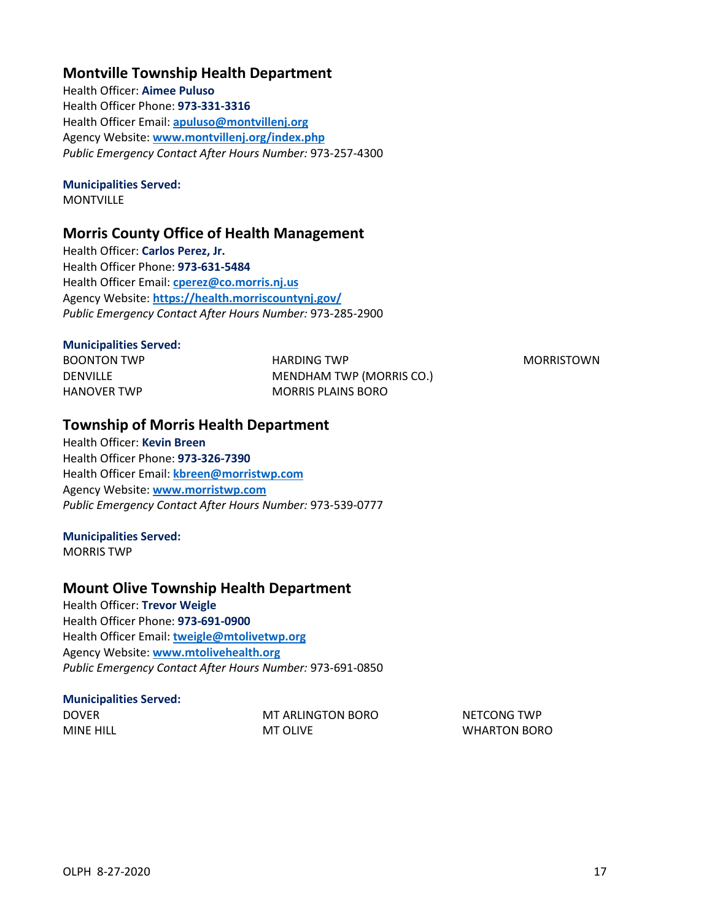# **Montville Township Health Department**

Health Officer: **Aimee Puluso** Health Officer Phone: **973-331-3316** Health Officer Email: **[apuluso@montvillenj.org](mailto:apuluso@montvillenj.org)** Agency Website: **[www.montvillenj.org/index.php](http://www.montvillenj.org/index.php)** *Public Emergency Contact After Hours Number:* 973-257-4300

#### **Municipalities Served:**

**MONTVILLE** 

### **Morris County Office of Health Management**

Health Officer: **Carlos Perez, Jr.** Health Officer Phone: **973-631-5484** Health Officer Email: **[cperez@co.morris.nj.us](mailto:cperez@co.morris.nj.us)** Agency Website: **<https://health.morriscountynj.gov/>** *Public Emergency Contact After Hours Number:* 973-285-2900

#### **Municipalities Served:**

BOONTON TWP DENVILLE HANOVER TWP

HARDING TWP MENDHAM TWP (MORRIS CO.) MORRIS PLAINS BORO

MORRISTOWN

### **Township of Morris Health Department**

Health Officer: **Kevin Breen** Health Officer Phone: **973-326-7390** Health Officer Email: **[kbreen@morristwp.com](mailto:kbreen@morristwp.com)** Agency Website: **[www.morristwp.com](http://www.morristwp.com/)** *Public Emergency Contact After Hours Number:* 973-539-0777

### **Municipalities Served:**

MORRIS TWP

### **Mount Olive Township Health Department**

Health Officer: **Trevor Weigle** Health Officer Phone: **973-691-0900** Health Officer Email: **[tweigle@mtolivetwp.org](mailto:tweigle@mtolivetwp.org)** Agency Website: **[www.mtolivehealth.org](http://www.mtolivehealth.org/)** *Public Emergency Contact After Hours Number:* 973-691-0850

#### **Municipalities Served:** DOVER

| DOVER     | MT ARLINGTON BORO |
|-----------|-------------------|
| MINE HILL | MT OLIVE          |

NETCONG TWP WHARTON BORO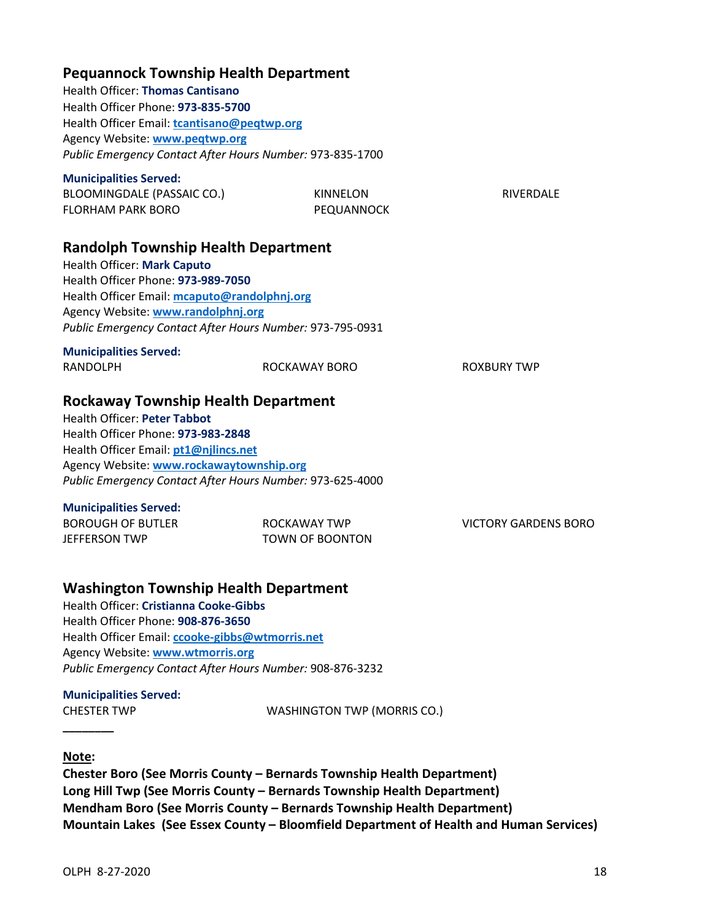| <b>Pequannock Township Health Department</b><br><b>Health Officer: Thomas Cantisano</b><br>Health Officer Phone: 973-835-5700<br>Health Officer Email: tcantisano@peqtwp.org<br>Agency Website: www.peqtwp.org<br>Public Emergency Contact After Hours Number: 973-835-1700             |                                        |                             |
|-----------------------------------------------------------------------------------------------------------------------------------------------------------------------------------------------------------------------------------------------------------------------------------------|----------------------------------------|-----------------------------|
| <b>Municipalities Served:</b><br>BLOOMINGDALE (PASSAIC CO.)<br><b>FLORHAM PARK BORO</b>                                                                                                                                                                                                 | KINNELON<br>PEQUANNOCK                 | <b>RIVERDALE</b>            |
| <b>Randolph Township Health Department</b><br>Health Officer: Mark Caputo<br>Health Officer Phone: 973-989-7050<br>Health Officer Email: mcaputo@randolphnj.org<br>Agency Website: www.randolphnj.org<br>Public Emergency Contact After Hours Number: 973-795-0931                      |                                        |                             |
| <b>Municipalities Served:</b><br><b>RANDOLPH</b>                                                                                                                                                                                                                                        | ROCKAWAY BORO                          | <b>ROXBURY TWP</b>          |
| <b>Rockaway Township Health Department</b><br><b>Health Officer: Peter Tabbot</b><br>Health Officer Phone: 973-983-2848<br>Health Officer Email: pt1@njlincs.net<br>Agency Website: www.rockawaytownship.org<br>Public Emergency Contact After Hours Number: 973-625-4000               |                                        |                             |
| <b>Municipalities Served:</b><br><b>BOROUGH OF BUTLER</b><br><b>JEFFERSON TWP</b>                                                                                                                                                                                                       | ROCKAWAY TWP<br><b>TOWN OF BOONTON</b> | <b>VICTORY GARDENS BORO</b> |
| <b>Washington Township Health Department</b><br><b>Health Officer: Cristianna Cooke-Gibbs</b><br>Health Officer Phone: 908-876-3650<br>Health Officer Email: ccooke-gibbs@wtmorris.net<br>Agency Website: www.wtmorris.org<br>Public Emergency Contact After Hours Number: 908-876-3232 |                                        |                             |

# **Municipalities Served:**

CHESTER TWP WASHINGTON TWP (MORRIS CO.)

### **Note:**

<span id="page-19-0"></span>**\_\_\_\_\_\_\_\_**

**Chester Boro (See Morris County – Bernards Township Health Department) Long Hill Twp (See Morris County – Bernards Township Health Department) Mendham Boro (See Morris County – Bernards Township Health Department) Mountain Lakes (See Essex County – Bloomfield Department of Health and Human Services)**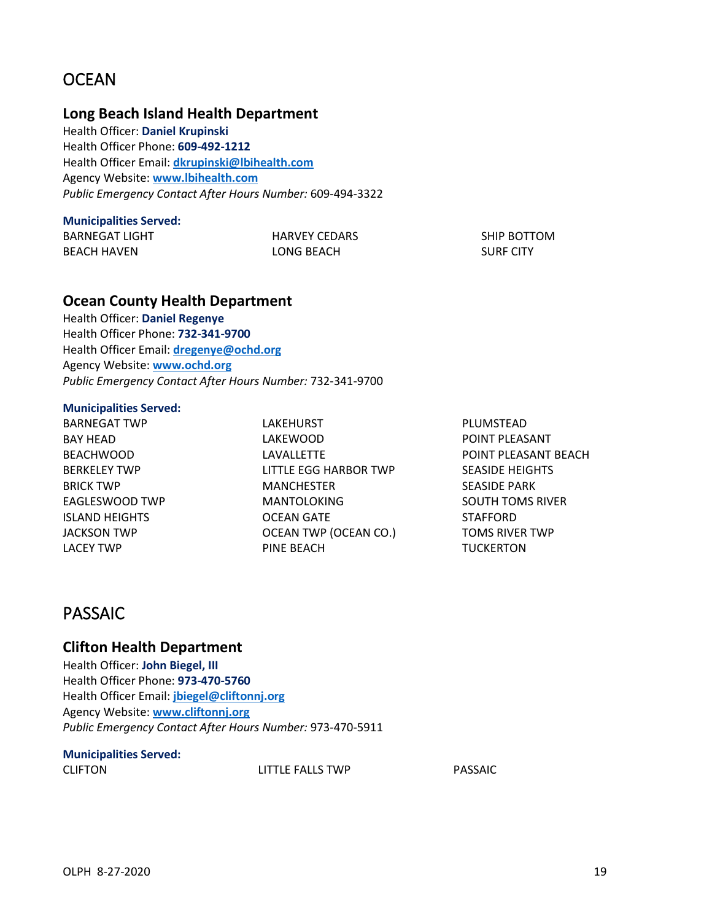# **OCEAN**

### **Long Beach Island Health Department**

Health Officer: **Daniel Krupinski** Health Officer Phone: **609-492-1212** Health Officer Email: **[dkrupinski@lbihealth.com](mailto:dkrupinski@lbihealth.com)** Agency Website: **[www.lbihealth.com](http://www.lbihealth.com/)** *Public Emergency Contact After Hours Number:* 609-494-3322

#### **Municipalities Served:**

BARNEGAT LIGHT BEACH HAVEN

HARVEY CEDARS LONG BEACH

SHIP BOTTOM SURF CITY

### **Ocean County Health Department**

Health Officer: **Daniel Regenye** Health Officer Phone: **732-341-9700** Health Officer Email: **[dregenye@ochd.org](mailto:dregenye@ochd.org)** Agency Website: **[www.ochd.org](http://www.ochd.org/)** *Public Emergency Contact After Hours Number:* 732-341-9700

#### **Municipalities Served:**

BARNEGAT TWP BAY HEAD BEACHWOOD BERKELEY TWP BRICK TWP EAGLESWOOD TWP ISLAND HEIGHTS JACKSON TWP LACEY TWP

LAKEHURST LAKEWOOD LAVALLETTE LITTLE EGG HARBOR TWP MANCHESTER MANTOLOKING OCEAN GATE OCEAN TWP (OCEAN CO.) PINE BEACH

PLUMSTEAD POINT PLEASANT POINT PLEASANT BEACH SEASIDE HEIGHTS SEASIDE PARK SOUTH TOMS RIVER STAFFORD TOMS RIVER TWP **TUCKERTON** 

# <span id="page-20-0"></span>PASSAIC

# **Clifton Health Department**

Health Officer: **John Biegel, III** Health Officer Phone: **973-470-5760** Health Officer Email: **[jbiegel@cliftonnj.org](mailto:jbiegel@cliftonnj.org)** Agency Website: **[www.cliftonnj.org](http://www.cliftonnj.org/)** *Public Emergency Contact After Hours Number:* 973-470-5911

# **Municipalities Served:**

CLIFTON LITTLE FALLS TWP PASSAIC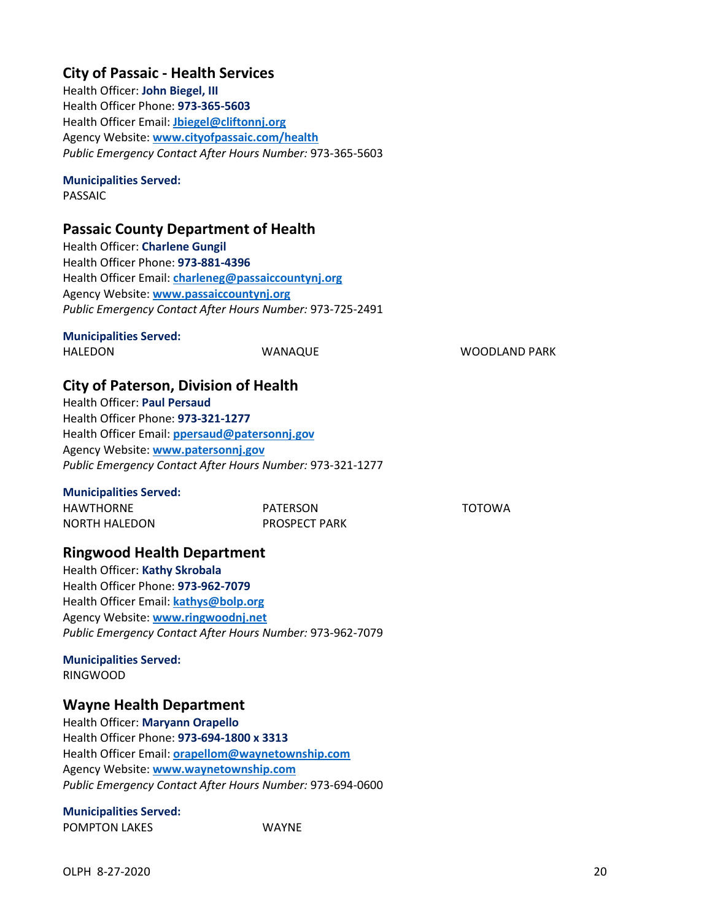# **City of Passaic - Health Services**

Health Officer: **John Biegel, III** Health Officer Phone: **973-365-5603** Health Officer Email: **[Jbiegel@cliftonnj.org](mailto:Jbiegel@cliftonnj.org)** Agency Website: **[www.cityofpassaic.com/health](http://www.cityofpassaic.com/health)** *Public Emergency Contact After Hours Number:* 973-365-5603

### **Municipalities Served:**

PASSAIC

# **Passaic County Department of Health**

Health Officer: **Charlene Gungil** Health Officer Phone: **973-881-4396** Health Officer Email: **[charleneg@passaiccountynj.org](mailto:charleneg@passaiccountynj.org)** Agency Website: **[www.passaiccountynj.org](http://www.passaiccountynj.org/)** *Public Emergency Contact After Hours Number:* 973-725-2491

#### **Municipalities Served:**

HALEDON WANAQUE WOODLAND PARK

TOTOWA

# **City of Paterson, Division of Health**

Health Officer: **Paul Persaud** Health Officer Phone: **973-321-1277** Health Officer Email: **[ppersaud@patersonnj.gov](mailto:ppersaud@patersonnj.gov)** Agency Website: **[www.patersonnj.gov](http://www.patersonnj.gov/)** *Public Emergency Contact After Hours Number:* 973-321-1277

#### **Municipalities Served:**

| <b>HAWTHORNE</b> | PATERSON             |
|------------------|----------------------|
| NORTH HALEDON    | <b>PROSPECT PARK</b> |

# **Ringwood Health Department**

Health Officer: **Kathy Skrobala** Health Officer Phone: **973-962-7079** Health Officer Email: **[kathys@bolp.org](mailto:kathys@bolp.org)** Agency Website: **[www.ringwoodnj.net](http://www.ringwoodnj.net/)** *Public Emergency Contact After Hours Number:* 973-962-7079

#### **Municipalities Served:** RINGWOOD

# **Wayne Health Department**

Health Officer: **Maryann Orapello** Health Officer Phone: **973-694-1800 x 3313** Health Officer Email: **[orapellom@waynetownship.com](mailto:orapellom@waynetownship.com)** Agency Website: **[www.waynetownship.com](http://www.waynetownship.com/)** *Public Emergency Contact After Hours Number:* 973-694-0600

# **Municipalities Served:**

POMPTON LAKES WAYNE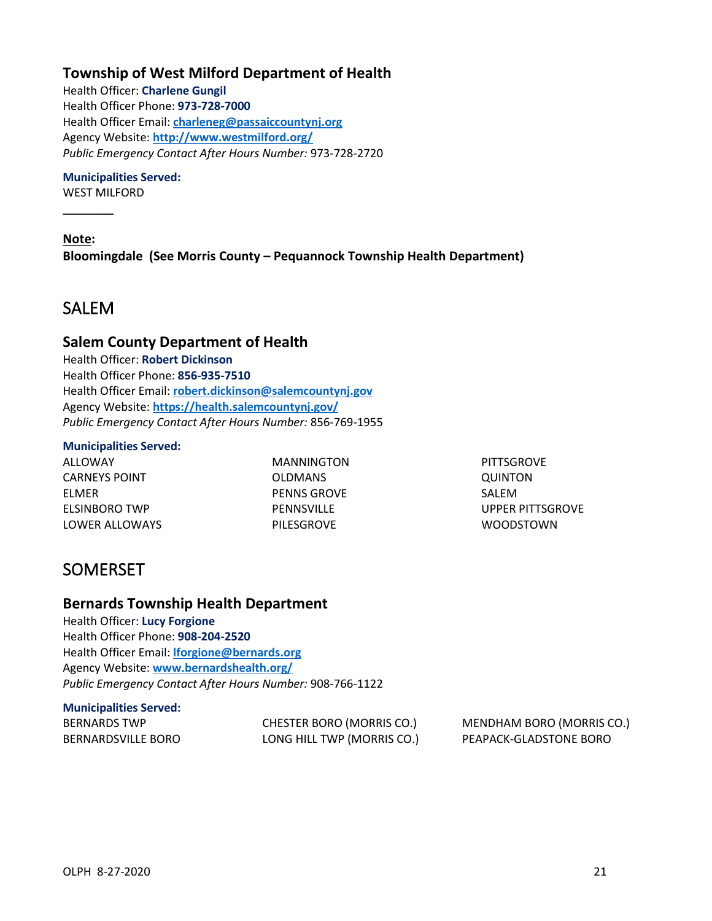# **Township of West Milford Department of Health**

Health Officer: **Charlene Gungil** Health Officer Phone: **973-728-7000** Health Officer Email: **[charleneg@passaiccountynj.org](mailto:charleneg@passaiccountynj.org)** Agency Website: **<http://www.westmilford.org/>** *Public Emergency Contact After Hours Number:* 973-728-2720

#### **Municipalities Served:**

WEST MILFORD

**\_\_\_\_\_\_\_\_**

**Note: Bloomingdale (See Morris County – Pequannock Township Health Department)**

# <span id="page-22-0"></span>SALEM

### **Salem County Department of Health**

Health Officer: **Robert Dickinson** Health Officer Phone: **856-935-7510** Health Officer Email: **[robert.dickinson@salemcountynj.gov](mailto:robert.dickinson@salemcountynj.gov)** Agency Website: **<https://health.salemcountynj.gov/>** *Public Emergency Contact After Hours Number:* 856-769-1955

#### **Municipalities Served:**

ALLOWAY CARNEYS POINT ELMER ELSINBORO TWP LOWER ALLOWAYS MANNINGTON OLDMANS PENNS GROVE PENNSVILLE PILESGROVE

**PITTSGROVE** QUINTON SALEM UPPER PITTSGROVE WOODSTOWN

# <span id="page-22-1"></span>SOMERSET

### **Bernards Township Health Department**

Health Officer: **Lucy Forgione** Health Officer Phone: **908-204-2520** Health Officer Email: **[lforgione@bernards.org](mailto:lforgione@bernards.org)** Agency Website: **[www.bernardshealth.org/](http://www.bernardshealth.org/)** *Public Emergency Contact After Hours Number:* 908-766-1122

# **Municipalities Served:**

| BERNARDS TWP       | CHESTER BORO (MORRIS CO.)  | <b>MENDHAM BORO (MORRIS CO.)</b> |
|--------------------|----------------------------|----------------------------------|
| BERNARDSVILLE BORO | LONG HILL TWP (MORRIS CO.) | PEAPACK-GLADSTONE BORO           |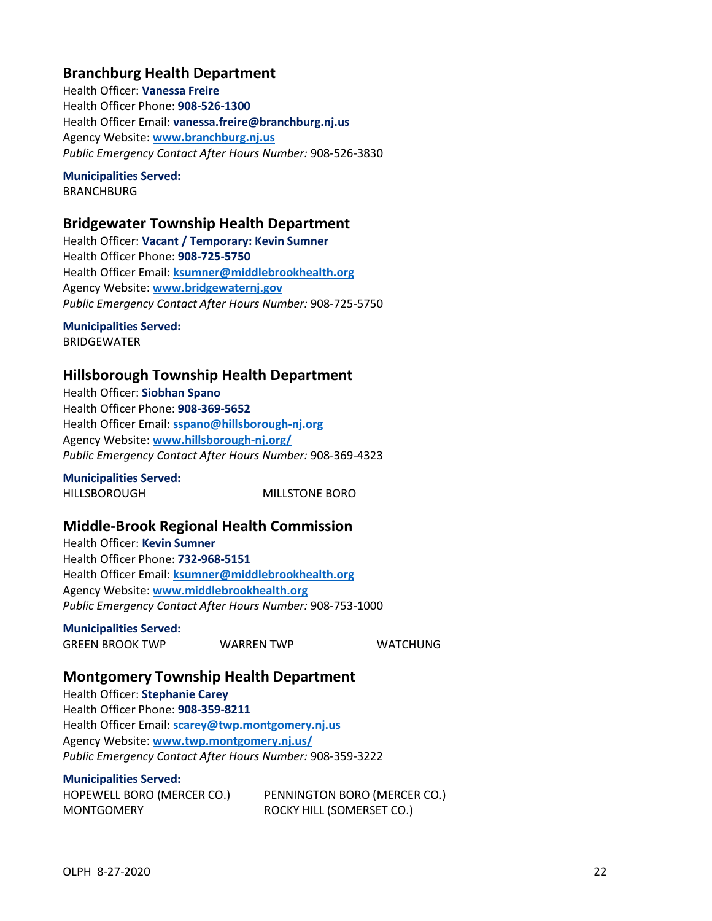# **Branchburg Health Department**

Health Officer: **Vanessa Freire** Health Officer Phone: **908-526-1300** Health Officer Email: **vanessa.freire@branchburg.nj.us** Agency Website: **[www.branchburg.nj.us](http://www.branchburg.nj.us/)** *Public Emergency Contact After Hours Number:* 908-526-3830

**Municipalities Served: BRANCHBURG** 

# **Bridgewater Township Health Department**

Health Officer: **Vacant / Temporary: Kevin Sumner** Health Officer Phone: **908-725-5750** Health Officer Email: **[ksumner@middlebrookhealth.org](mailto:ksumner@middlebrookhealth.org)** Agency Website: **[www.bridgewaternj.gov](http://www.bridgewaternj.gov/)** *Public Emergency Contact After Hours Number:* 908-725-5750

**Municipalities Served:** BRIDGEWATER

# **Hillsborough Township Health Department**

Health Officer: **Siobhan Spano** Health Officer Phone: **908-369-5652** Health Officer Email: **[sspano@hillsborough-nj.org](mailto:sspano@hillsborough-nj.org)** Agency Website: **[www.hillsborough-nj.org/](http://www.hillsborough-nj.org/)** *Public Emergency Contact After Hours Number:* 908-369-4323

**Municipalities Served:** HILLSBOROUGH MILLSTONE BORO

# **Middle-Brook Regional Health Commission**

Health Officer: **Kevin Sumner** Health Officer Phone: **732-968-5151** Health Officer Email: **[ksumner@middlebrookhealth.org](mailto:ksumner@middlebrookhealth.org)** Agency Website: **[www.middlebrookhealth.org](http://www.middlebrookhealth.org/)** *Public Emergency Contact After Hours Number:* 908-753-1000

**Municipalities Served:**

GREEN BROOK TWP WARREN TWP WATCHUNG

# **Montgomery Township Health Department**

Health Officer: **Stephanie Carey** Health Officer Phone: **908-359-8211** Health Officer Email: **[scarey@twp.montgomery.nj.us](mailto:scarey@twp.montgomery.nj.us)** Agency Website: **[www.twp.montgomery.nj.us/](http://www.twp.montgomery.nj.us/)** *Public Emergency Contact After Hours Number:* 908-359-3222

**Municipalities Served:**

HOPEWELL BORO (MERCER CO.) MONTGOMERY

PENNINGTON BORO (MERCER CO.) ROCKY HILL (SOMERSET CO.)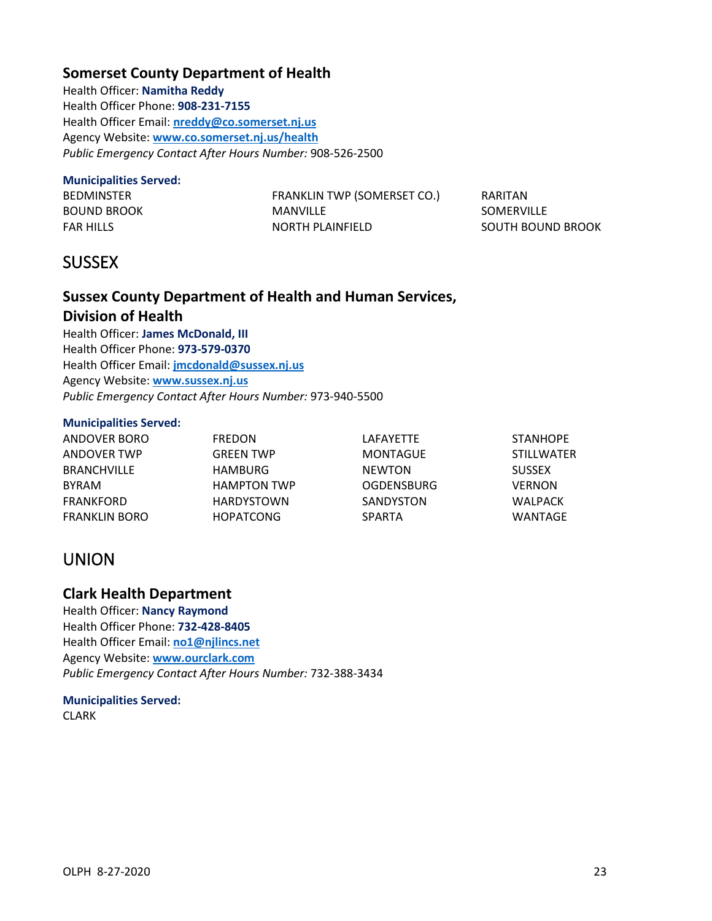# **Somerset County Department of Health**

Health Officer: **Namitha Reddy** Health Officer Phone: **908-231-7155** Health Officer Email: **[nreddy@co.somerset.nj.us](mailto:nreddy@co.somerset.nj.us)** Agency Website: **[www.co.somerset.nj.us/health](http://www.co.somerset.nj.us/health)** *Public Emergency Contact After Hours Number:* 908-526-2500

#### **Municipalities Served:**

BEDMINSTER BOUND BROOK FAR HILLS

FRANKLIN TWP (SOMERSET CO.) MANVILLE NORTH PLAINFIELD

RARITAN SOMERVILLE SOUTH BOUND BROOK

# <span id="page-24-0"></span>**SUSSEX**

# **Sussex County Department of Health and Human Services, Division of Health**

Health Officer: **James McDonald, III** Health Officer Phone: **973-579-0370** Health Officer Email: **[jmcdonald@sussex.nj.us](mailto:jmcdonald@sussex.nj.us)** Agency Website: **[www.sussex.nj.us](http://www.sussex.nj.us/)** *Public Emergency Contact After Hours Number:* 973-940-5500

#### **Municipalities Served:**

| ANDOVER BORO       | <b>FREDON</b>      | LAFAYETTE         | <b>STANHOPE</b>   |
|--------------------|--------------------|-------------------|-------------------|
| ANDOVER TWP        | <b>GREEN TWP</b>   | MONTAGUE          | <b>STILLWATER</b> |
| <b>BRANCHVILLE</b> | HAMBURG            | <b>NEWTON</b>     | <b>SUSSEX</b>     |
| <b>BYRAM</b>       | <b>HAMPTON TWP</b> | <b>OGDENSBURG</b> | <b>VERNON</b>     |
| FRANKFORD          | <b>HARDYSTOWN</b>  | SANDYSTON         | WALPACK           |
| FRANKLIN BORO      | <b>HOPATCONG</b>   | <b>SPARTA</b>     | WANTAGE           |

# <span id="page-24-1"></span>UNION

# **Clark Health Department**

Health Officer: **Nancy Raymond** Health Officer Phone: **732-428-8405** Health Officer Email: **[no1@njlincs.net](mailto:no1@njlincs.net)** Agency Website: **[www.ourclark.com](http://www.ourclark.com/)** *Public Emergency Contact After Hours Number:* 732-388-3434

#### **Municipalities Served:** CLARK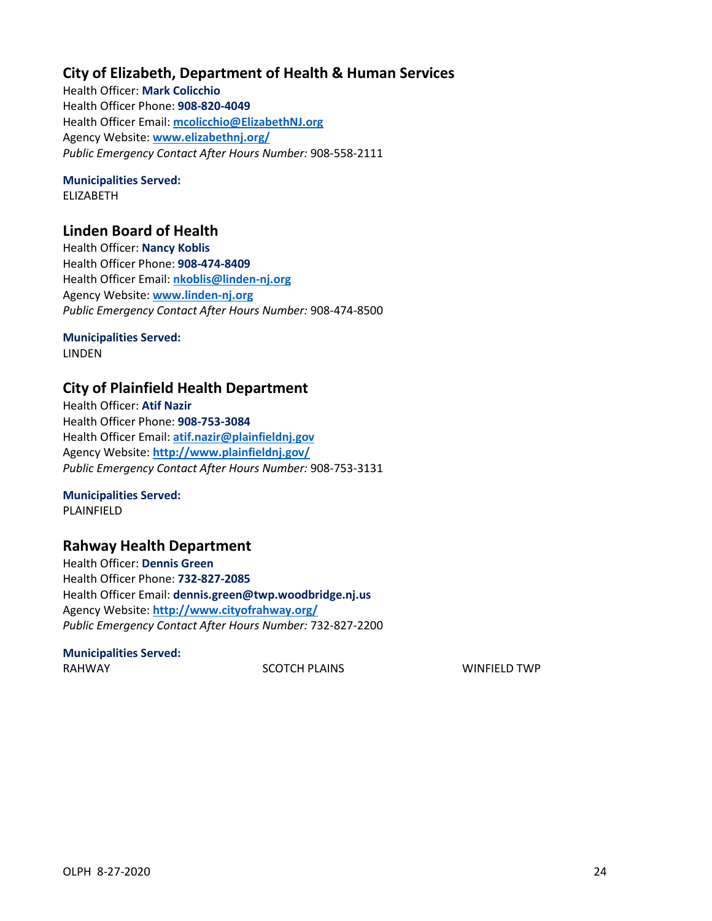# **City of Elizabeth, Department of Health & Human Services**

Health Officer: **Mark Colicchio** Health Officer Phone: **908-820-4049** Health Officer Email: **[mcolicchio@ElizabethNJ.org](mailto:mcolicchio@ElizabethNJ.org)** Agency Website: **[www.elizabethnj.org/](http://www.elizabethnj.org/)** *Public Emergency Contact After Hours Number:* 908-558-2111

# **Municipalities Served:**

ELIZABETH

# **Linden Board of Health**

Health Officer: **Nancy Koblis** Health Officer Phone: **908-474-8409** Health Officer Email: **[nkoblis@linden-nj.org](mailto:nkoblis@linden-nj.org)** Agency Website: **[www.linden-nj.org](http://www.linden-nj.org/)** *Public Emergency Contact After Hours Number:* 908-474-8500

# **Municipalities Served:**

LINDEN

# **City of Plainfield Health Department**

Health Officer: **Atif Nazir** Health Officer Phone: **908-753-3084** Health Officer Email: **atif.nazir@plainfieldnj.gov** Agency Website: **<http://www.plainfieldnj.gov/>** *Public Emergency Contact After Hours Number:* 908-753-3131

**Municipalities Served:**

PLAINFIELD

# **Rahway Health Department**

Health Officer: **Dennis Green** Health Officer Phone: **732-827-2085** Health Officer Email: **dennis.green@twp.woodbridge.nj.us** Agency Website: **<http://www.cityofrahway.org/>** *Public Emergency Contact After Hours Number:* 732-827-2200

# **Municipalities Served:**

RAHWAY **SCOTCH PLAINS** SCOTCH PLAINS **WINFIELD TWP**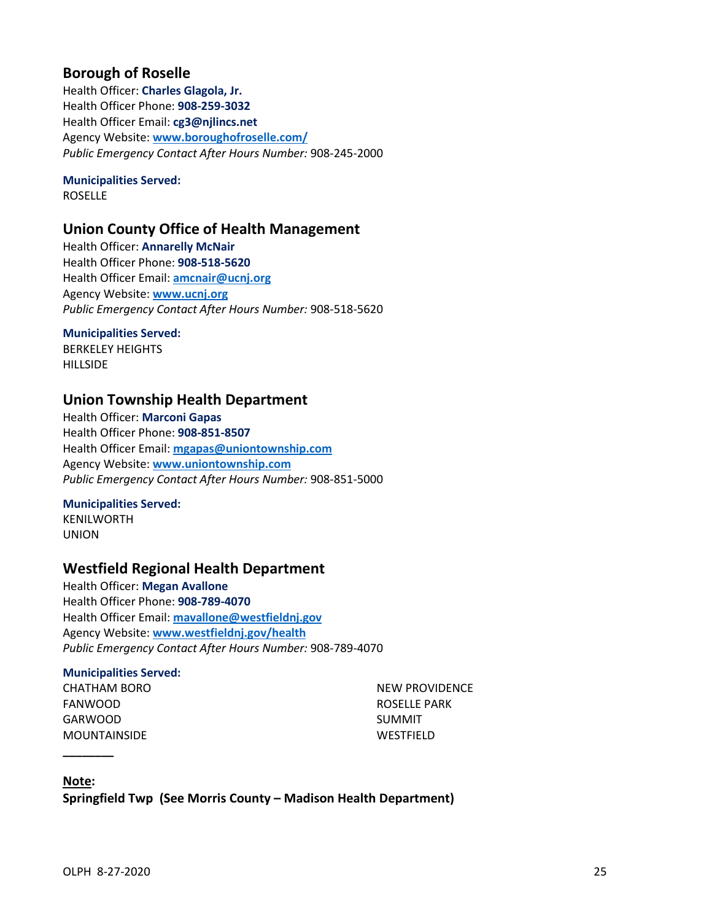# **Borough of Roselle**

Health Officer: **Charles Glagola, Jr.** Health Officer Phone: **908-259-3032** Health Officer Email: **cg3@njlincs.net** Agency Website: **[www.boroughofroselle.com/](http://www.boroughofroselle.com/)** *Public Emergency Contact After Hours Number:* 908-245-2000

# **Municipalities Served:**

ROSELLE

# **Union County Office of Health Management**

Health Officer: **Annarelly McNair** Health Officer Phone: **908-518-5620** Health Officer Email: **[amcnair@ucnj.org](mailto:amcnair@ucnj.org)** Agency Website: **[www.ucnj.org](http://www.ucnj.org/)** *Public Emergency Contact After Hours Number:* 908-518-5620

### **Municipalities Served:**

BERKELEY HEIGHTS **HILLSIDE** 

# **Union Township Health Department**

Health Officer: **Marconi Gapas** Health Officer Phone: **908-851-8507** Health Officer Email: **[mgapas@uniontownship.com](mailto:mgapas@uniontownship.com)** Agency Website: **[www.uniontownship.com](http://www.uniontownship.com/)** *Public Emergency Contact After Hours Number:* 908-851-5000

### **Municipalities Served:**

KENILWORTH UNION

# **Westfield Regional Health Department**

Health Officer: **Megan Avallone** Health Officer Phone: **908-789-4070** Health Officer Email: **[mavallone@westfieldnj.gov](mailto:mavallone@westfieldnj.gov)** Agency Website: **[www.westfieldnj.gov/health](http://www.westfieldnj.gov/health)** *Public Emergency Contact After Hours Number:* 908-789-4070

#### **Municipalities Served:**

CHATHAM BORO FANWOOD GARWOOD MOUNTAINSIDE

NEW PROVIDENCE ROSELLE PARK SUMMIT WESTFIELD

#### **Note:**

**\_\_\_\_\_\_\_\_**

<span id="page-26-0"></span>**Springfield Twp (See Morris County – Madison Health Department)**